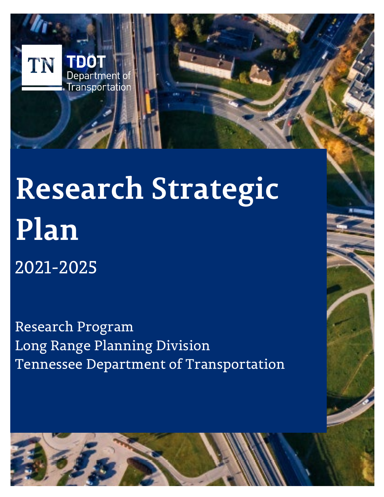

2021-2025

Research Program Long Range Planning Division Tennessee Department of Transportation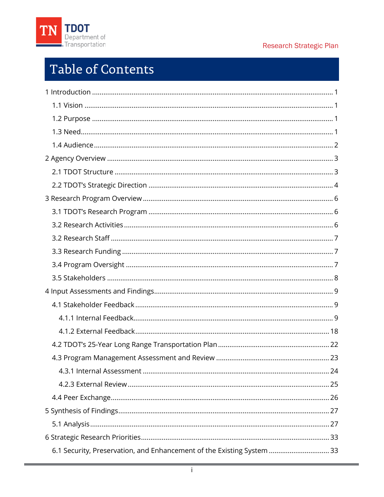

# Table of Contents

| 6.1 Security, Preservation, and Enhancement of the Existing System  33 |
|------------------------------------------------------------------------|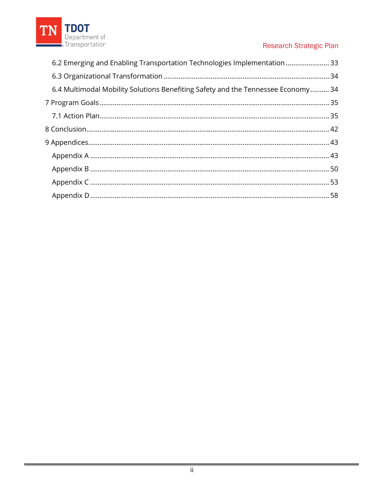

| 6.2 Emerging and Enabling Transportation Technologies Implementation  33         |  |
|----------------------------------------------------------------------------------|--|
|                                                                                  |  |
| 6.4 Multimodal Mobility Solutions Benefiting Safety and the Tennessee Economy 34 |  |
|                                                                                  |  |
|                                                                                  |  |
|                                                                                  |  |
|                                                                                  |  |
|                                                                                  |  |
|                                                                                  |  |
|                                                                                  |  |
|                                                                                  |  |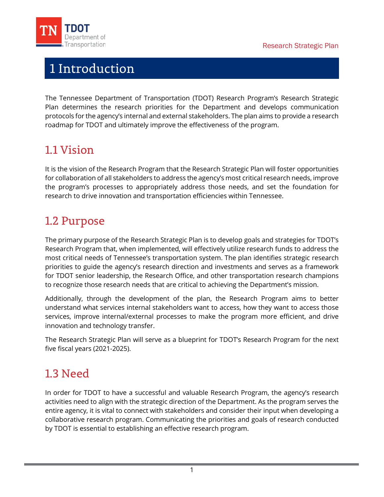

<span id="page-3-0"></span>

# 1 Introduction

The Tennessee Department of Transportation (TDOT) Research Program's Research Strategic Plan determines the research priorities for the Department and develops communication protocols for the agency's internal and external stakeholders. The plan aims to provide a research roadmap for TDOT and ultimately improve the effectiveness of the program.

# <span id="page-3-1"></span>1.1 Vision

It is the vision of the Research Program that the Research Strategic Plan will foster opportunities for collaboration of all stakeholders to address the agency's most critical research needs, improve the program's processes to appropriately address those needs, and set the foundation for research to drive innovation and transportation efficiencies within Tennessee.

# <span id="page-3-2"></span>1.2 Purpose

The primary purpose of the Research Strategic Plan is to develop goals and strategies for TDOT's Research Program that, when implemented, will effectively utilize research funds to address the most critical needs of Tennessee's transportation system. The plan identifies strategic research priorities to guide the agency's research direction and investments and serves as a framework for TDOT senior leadership, the Research Office, and other transportation research champions to recognize those research needs that are critical to achieving the Department's mission.

Additionally, through the development of the plan, the Research Program aims to better understand what services internal stakeholders want to access, how they want to access those services, improve internal/external processes to make the program more efficient, and drive innovation and technology transfer.

The Research Strategic Plan will serve as a blueprint for TDOT's Research Program for the next five fiscal years (2021-2025).

# <span id="page-3-3"></span>1.3 Need

In order for TDOT to have a successful and valuable Research Program, the agency's research activities need to align with the strategic direction of the Department. As the program serves the entire agency, it is vital to connect with stakeholders and consider their input when developing a collaborative research program. Communicating the priorities and goals of research conducted by TDOT is essential to establishing an effective research program.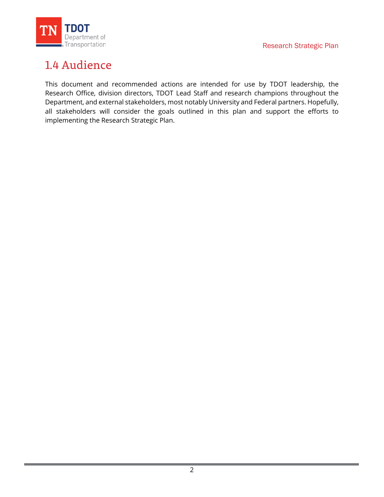

# <span id="page-4-0"></span>1.4 Audience

This document and recommended actions are intended for use by TDOT leadership, the Research Office, division directors, TDOT Lead Staff and research champions throughout the Department, and external stakeholders, most notably University and Federal partners. Hopefully, all stakeholders will consider the goals outlined in this plan and support the efforts to implementing the Research Strategic Plan.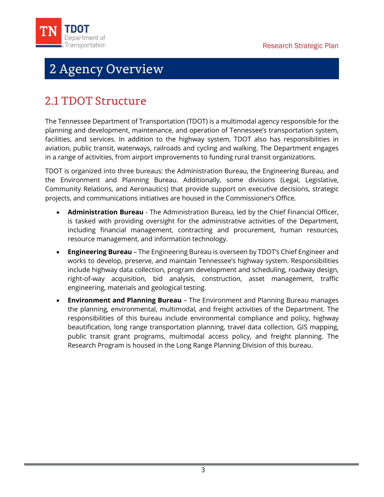<span id="page-5-0"></span>

# 2 Agency Overview

# <span id="page-5-1"></span>2.1 TDOT Structure

The Tennessee Department of Transportation (TDOT) is a multimodal agency responsible for the planning and development, maintenance, and operation of Tennessee's transportation system, facilities, and services. In addition to the highway system, TDOT also has responsibilities in aviation, public transit, waterways, railroads and cycling and walking. The Department engages in a range of activities, from airport improvements to funding rural transit organizations.

TDOT is organized into three bureaus: the Administration Bureau, the Engineering Bureau, and the Environment and Planning Bureau. Additionally, some divisions (Legal, Legislative, Community Relations, and Aeronautics) that provide support on executive decisions, strategic projects, and communications initiatives are housed in the Commissioner's Office.

- **Administration Bureau** The Administration Bureau, led by the Chief Financial Officer, is tasked with providing oversight for the administrative activities of the Department, including financial management, contracting and procurement, human resources, resource management, and information technology.
- **Engineering Bureau** The Engineering Bureau is overseen by TDOT's Chief Engineer and works to develop, preserve, and maintain Tennessee's highway system. Responsibilities include highway data collection, program development and scheduling, roadway design, right-of-way acquisition, bid analysis, construction, asset management, traffic engineering, materials and geological testing.
- **Environment and Planning Bureau** The Environment and Planning Bureau manages the planning, environmental, multimodal, and freight activities of the Department. The responsibilities of this bureau include environmental compliance and policy, highway beautification, long range transportation planning, travel data collection, GIS mapping, public transit grant programs, multimodal access policy, and freight planning. The Research Program is housed in the Long Range Planning Division of this bureau.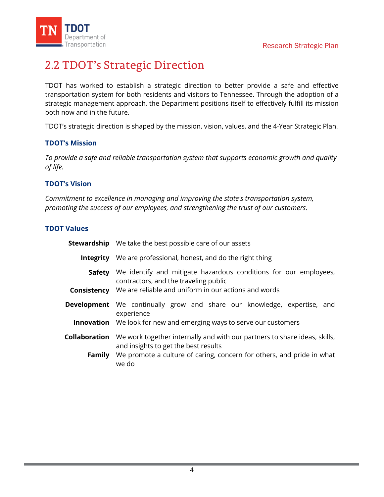

# <span id="page-6-0"></span>2.2 TDOT's Strategic Direction

TDOT has worked to establish a strategic direction to better provide a safe and effective transportation system for both residents and visitors to Tennessee. Through the adoption of a strategic management approach, the Department positions itself to effectively fulfill its mission both now and in the future.

TDOT's strategic direction is shaped by the mission, vision, values, and the 4-Year Strategic Plan.

### **TDOT's Mission**

*To provide a safe and reliable transportation system that supports economic growth and quality of life.*

### **TDOT's Vision**

*Commitment to excellence in managing and improving the state's transportation system, promoting the success of our employees, and strengthening the trust of our customers.*

### **TDOT Values**

|        | <b>Stewardship</b> We take the best possible care of our assets                                                                                                                                                 |  |  |
|--------|-----------------------------------------------------------------------------------------------------------------------------------------------------------------------------------------------------------------|--|--|
|        | <b>Integrity</b> We are professional, honest, and do the right thing                                                                                                                                            |  |  |
|        | <b>Safety</b> We identify and mitigate hazardous conditions for our employees,<br>contractors, and the traveling public                                                                                         |  |  |
|        | <b>Consistency</b> We are reliable and uniform in our actions and words                                                                                                                                         |  |  |
|        | Development We continually grow and share our knowledge, expertise, and<br>experience                                                                                                                           |  |  |
|        | <b>Innovation</b> We look for new and emerging ways to serve our customers                                                                                                                                      |  |  |
| Family | <b>Collaboration</b> We work together internally and with our partners to share ideas, skills,<br>and insights to get the best results<br>We promote a culture of caring, concern for others, and pride in what |  |  |
|        | we do                                                                                                                                                                                                           |  |  |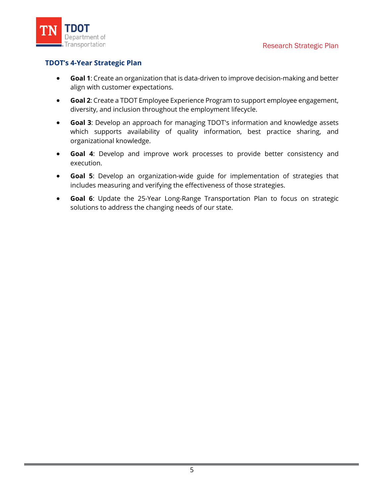

### **TDOT's 4-Year Strategic Plan**

- **Goal 1**: Create an organization that is data-driven to improve decision-making and better align with customer expectations.
- **Goal 2**: Create a TDOT Employee Experience Program to support employee engagement, diversity, and inclusion throughout the employment lifecycle.
- **Goal 3**: Develop an approach for managing TDOT's information and knowledge assets which supports availability of quality information, best practice sharing, and organizational knowledge.
- **Goal 4**: Develop and improve work processes to provide better consistency and execution.
- **Goal 5**: Develop an organization-wide guide for implementation of strategies that includes measuring and verifying the effectiveness of those strategies.
- **Goal 6**: Update the 25-Year Long-Range Transportation Plan to focus on strategic solutions to address the changing needs of our state.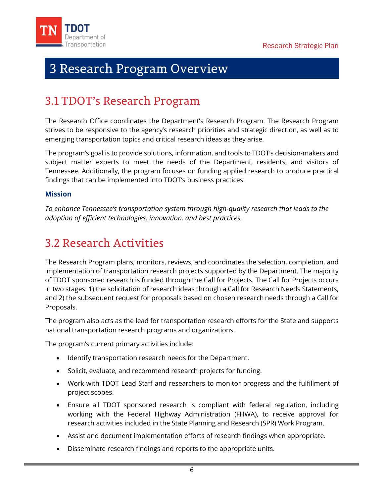<span id="page-8-0"></span>

# 3 Research Program Overview

# <span id="page-8-1"></span>3.1 TDOT's Research Program

The Research Office coordinates the Department's Research Program. The Research Program strives to be responsive to the agency's research priorities and strategic direction, as well as to emerging transportation topics and critical research ideas as they arise.

The program's goal is to provide solutions, information, and tools to TDOT's decision-makers and subject matter experts to meet the needs of the Department, residents, and visitors of Tennessee. Additionally, the program focuses on funding applied research to produce practical findings that can be implemented into TDOT's business practices.

### **Mission**

*To enhance Tennessee's transportation system through high-quality research that leads to the adoption of efficient technologies, innovation, and best practices.*

# <span id="page-8-2"></span>3.2 Research Activities

The Research Program plans, monitors, reviews, and coordinates the selection, completion, and implementation of transportation research projects supported by the Department. The majority of TDOT sponsored research is funded through the Call for Projects. The Call for Projects occurs in two stages: 1) the solicitation of research ideas through a Call for Research Needs Statements, and 2) the subsequent request for proposals based on chosen research needs through a Call for Proposals.

The program also acts as the lead for transportation research efforts for the State and supports national transportation research programs and organizations.

The program's current primary activities include:

- Identify transportation research needs for the Department.
- Solicit, evaluate, and recommend research projects for funding.
- Work with TDOT Lead Staff and researchers to monitor progress and the fulfillment of project scopes.
- Ensure all TDOT sponsored research is compliant with federal regulation, including working with the Federal Highway Administration (FHWA), to receive approval for research activities included in the State Planning and Research (SPR) Work Program.
- Assist and document implementation efforts of research findings when appropriate.
- Disseminate research findings and reports to the appropriate units.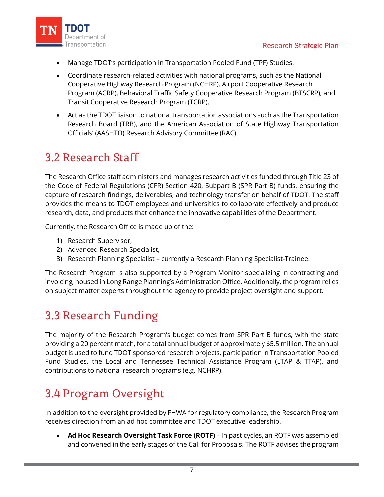

- Manage TDOT's participation in Transportation Pooled Fund (TPF) Studies.
- Coordinate research-related activities with national programs, such as the National Cooperative Highway Research Program (NCHRP), Airport Cooperative Research Program (ACRP), Behavioral Traffic Safety Cooperative Research Program (BTSCRP), and Transit Cooperative Research Program (TCRP).
- Act as the TDOT liaison to national transportation associations such as the Transportation Research Board (TRB), and the American Association of State Highway Transportation Officials' (AASHTO) Research Advisory Committee (RAC).

# <span id="page-9-0"></span>3.2 Research Staff

The Research Office staff administers and manages research activities funded through Title 23 of the Code of Federal Regulations (CFR) Section 420, Subpart B (SPR Part B) funds, ensuring the capture of research findings, deliverables, and technology transfer on behalf of TDOT. The staff provides the means to TDOT employees and universities to collaborate effectively and produce research, data, and products that enhance the innovative capabilities of the Department.

Currently, the Research Office is made up of the:

- 1) Research Supervisor,
- 2) Advanced Research Specialist,
- 3) Research Planning Specialist currently a Research Planning Specialist-Trainee.

The Research Program is also supported by a Program Monitor specializing in contracting and invoicing, housed in Long Range Planning's Administration Office. Additionally, the program relies on subject matter experts throughout the agency to provide project oversight and support.

# <span id="page-9-1"></span>3.3 Research Funding

The majority of the Research Program's budget comes from SPR Part B funds, with the state providing a 20 percent match, for a total annual budget of approximately \$5.5 million. The annual budget is used to fund TDOT sponsored research projects, participation in Transportation Pooled Fund Studies, the Local and Tennessee Technical Assistance Program (LTAP & TTAP), and contributions to national research programs (e.g. NCHRP).

# <span id="page-9-2"></span>3.4 Program Oversight

In addition to the oversight provided by FHWA for regulatory compliance, the Research Program receives direction from an ad hoc committee and TDOT executive leadership.

• **Ad Hoc Research Oversight Task Force (ROTF)** – In past cycles, an ROTF was assembled and convened in the early stages of the Call for Proposals. The ROTF advises the program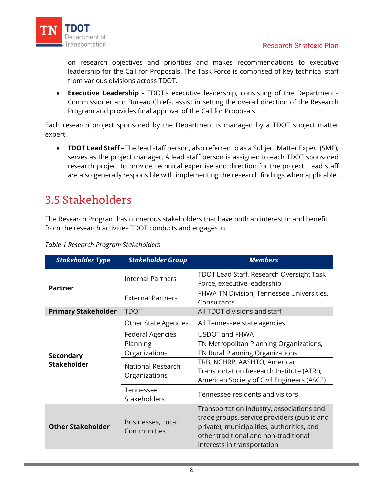

on research objectives and priorities and makes recommendations to executive leadership for the Call for Proposals. The Task Force is comprised of key technical staff from various divisions across TDOT.

• **Executive Leadership** - TDOT's executive leadership, consisting of the Department's Commissioner and Bureau Chiefs, assist in setting the overall direction of the Research Program and provides final approval of the Call for Proposals.

Each research project sponsored by the Department is managed by a TDOT subject matter expert.

• **TDOT Lead Staff** – The lead staff person, also referred to as a Subject Matter Expert (SME), serves as the project manager. A lead staff person is assigned to each TDOT sponsored research project to provide technical expertise and direction for the project. Lead staff are also generally responsible with implementing the research findings when applicable.

# <span id="page-10-0"></span>3.5 Stakeholders

The Research Program has numerous stakeholders that have both an interest in and benefit from the research activities TDOT conducts and engages in.

| <b>Stakeholder Type</b>                                      | <b>Stakeholder Group</b>    | <b>Members</b>                                                                                                                                                                                                 |  |
|--------------------------------------------------------------|-----------------------------|----------------------------------------------------------------------------------------------------------------------------------------------------------------------------------------------------------------|--|
| <b>Partner</b>                                               | <b>Internal Partners</b>    | TDOT Lead Staff, Research Oversight Task<br>Force, executive leadership                                                                                                                                        |  |
|                                                              | <b>External Partners</b>    | FHWA-TN Division, Tennessee Universities,<br>Consultants                                                                                                                                                       |  |
| <b>Primary Stakeholder</b>                                   | <b>TDOT</b>                 | All TDOT divisions and staff                                                                                                                                                                                   |  |
|                                                              | <b>Other State Agencies</b> | All Tennessee state agencies                                                                                                                                                                                   |  |
|                                                              | <b>Federal Agencies</b>     | <b>USDOT and FHWA</b>                                                                                                                                                                                          |  |
| <b>Secondary</b>                                             | Planning                    | TN Metropolitan Planning Organizations,                                                                                                                                                                        |  |
|                                                              | Organizations               | TN Rural Planning Organizations                                                                                                                                                                                |  |
| <b>Stakeholder</b>                                           | National Research           | TRB, NCHRP, AASHTO, American                                                                                                                                                                                   |  |
|                                                              | Organizations               | Transportation Research Institute (ATRI),                                                                                                                                                                      |  |
|                                                              |                             | American Society of Civil Engineers (ASCE)                                                                                                                                                                     |  |
|                                                              | Tennessee<br>Stakeholders   | Tennessee residents and visitors                                                                                                                                                                               |  |
| Businesses, Local<br><b>Other Stakeholder</b><br>Communities |                             | Transportation industry, associations and<br>trade groups, service providers (public and<br>private), municipalities, authorities, and<br>other traditional and non-traditional<br>interests in transportation |  |

*Table 1 Research Program Stakeholders*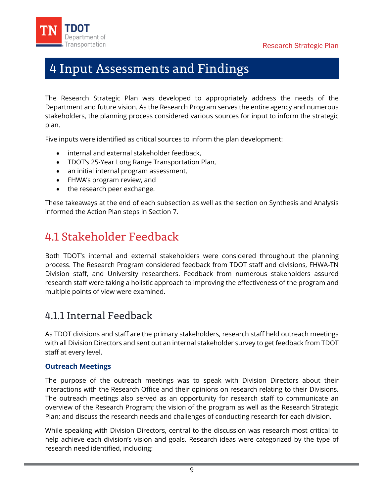<span id="page-11-0"></span>

# 4 Input Assessments and Findings

The Research Strategic Plan was developed to appropriately address the needs of the Department and future vision. As the Research Program serves the entire agency and numerous stakeholders, the planning process considered various sources for input to inform the strategic plan.

Five inputs were identified as critical sources to inform the plan development:

- internal and external stakeholder feedback,
- TDOT's 25-Year Long Range Transportation Plan,
- an initial internal program assessment,
- FHWA's program review, and
- the research peer exchange.

These takeaways at the end of each subsection as well as the section on Synthesis and Analysis informed the Action Plan steps in [Section 7.](#page-37-2)

# <span id="page-11-1"></span>4.1 Stakeholder Feedback

Both TDOT's internal and external stakeholders were considered throughout the planning process. The Research Program considered feedback from TDOT staff and divisions, FHWA-TN Division staff, and University researchers. Feedback from numerous stakeholders assured research staff were taking a holistic approach to improving the effectiveness of the program and multiple points of view were examined.

# <span id="page-11-2"></span>4.1.1 Internal Feedback

As TDOT divisions and staff are the primary stakeholders, research staff held outreach meetings with all Division Directors and sent out an internal stakeholder survey to get feedback from TDOT staff at every level.

### **Outreach Meetings**

The purpose of the outreach meetings was to speak with Division Directors about their interactions with the Research Office and their opinions on research relating to their Divisions. The outreach meetings also served as an opportunity for research staff to communicate an overview of the Research Program; the vision of the program as well as the Research Strategic Plan; and discuss the research needs and challenges of conducting research for each division.

While speaking with Division Directors, central to the discussion was research most critical to help achieve each division's vision and goals. Research ideas were categorized by the type of research need identified, including: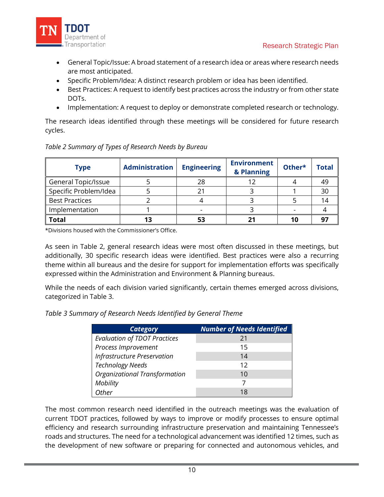

- General Topic/Issue: A broad statement of a research idea or areas where research needs are most anticipated.
- Specific Problem/Idea: A distinct research problem or idea has been identified.
- Best Practices: A request to identify best practices across the industry or from other state DOTs.
- Implementation: A request to deploy or demonstrate completed research or technology.

The research ideas identified through these meetings will be considered for future research cycles.

| <b>Type</b>           | <b>Administration</b> | <b>Engineering</b> | <b>Environment</b><br>& Planning | Other* | <b>Total</b> |
|-----------------------|-----------------------|--------------------|----------------------------------|--------|--------------|
| General Topic/Issue   |                       | 28                 |                                  |        |              |
| Specific Problem/Idea |                       |                    |                                  |        | 30           |
| <b>Best Practices</b> |                       |                    |                                  |        |              |
| Implementation        |                       |                    |                                  |        |              |
| <b>Total</b>          | 13                    |                    |                                  |        |              |

*Table 2 Summary of Types of Research Needs by Bureau*

\*Divisions housed with the Commissioner's Office.

As seen in Table 2, general research ideas were most often discussed in these meetings, but additionally, 30 specific research ideas were identified. Best practices were also a recurring theme within all bureaus and the desire for support for implementation efforts was specifically expressed within the Administration and Environment & Planning bureaus.

While the needs of each division varied significantly, certain themes emerged across divisions, categorized in Table 3.

*Table 3 Summary of Research Needs Identified by General Theme*

| <b>Category</b>                      | <b>Number of Needs Identified</b> |
|--------------------------------------|-----------------------------------|
| <b>Evaluation of TDOT Practices</b>  | 21                                |
| Process Improvement                  | 15                                |
| <b>Infrastructure Preservation</b>   | 14                                |
| <b>Technology Needs</b>              | 12                                |
| <b>Organizational Transformation</b> | 10                                |
| Mobility                             |                                   |
| Other                                | 18                                |

The most common research need identified in the outreach meetings was the evaluation of current TDOT practices, followed by ways to improve or modify processes to ensure optimal efficiency and research surrounding infrastructure preservation and maintaining Tennessee's roads and structures. The need for a technological advancement was identified 12 times, such as the development of new software or preparing for connected and autonomous vehicles, and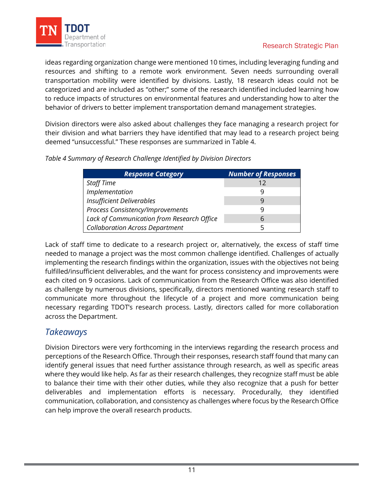

ideas regarding organization change were mentioned 10 times, including leveraging funding and resources and shifting to a remote work environment. Seven needs surrounding overall transportation mobility were identified by divisions. Lastly, 18 research ideas could not be categorized and are included as "other;" some of the research identified included learning how to reduce impacts of structures on environmental features and understanding how to alter the behavior of drivers to better implement transportation demand management strategies.

Division directors were also asked about challenges they face managing a research project for their division and what barriers they have identified that may lead to a research project being deemed "unsuccessful." These responses are summarized in Table 4.

|  |  | Table 4 Summary of Research Challenge Identified by Division Directors |
|--|--|------------------------------------------------------------------------|
|--|--|------------------------------------------------------------------------|

| <b>Response Category</b>                   | <b>Number of Responses</b> |
|--------------------------------------------|----------------------------|
| <b>Staff Time</b>                          | 12                         |
| Implementation                             |                            |
| <b>Insufficient Deliverables</b>           |                            |
| Process Consistency/Improvements           |                            |
| Lack of Communication from Research Office | 6                          |
| <b>Collaboration Across Department</b>     |                            |

Lack of staff time to dedicate to a research project or, alternatively, the excess of staff time needed to manage a project was the most common challenge identified. Challenges of actually implementing the research findings within the organization, issues with the objectives not being fulfilled/insufficient deliverables, and the want for process consistency and improvements were each cited on 9 occasions. Lack of communication from the Research Office was also identified as challenge by numerous divisions, specifically, directors mentioned wanting research staff to communicate more throughout the lifecycle of a project and more communication being necessary regarding TDOT's research process. Lastly, directors called for more collaboration across the Department.

# *Takeaways*

Division Directors were very forthcoming in the interviews regarding the research process and perceptions of the Research Office. Through their responses, research staff found that many can identify general issues that need further assistance through research, as well as specific areas where they would like help. As far as their research challenges, they recognize staff must be able to balance their time with their other duties, while they also recognize that a push for better deliverables and implementation efforts is necessary. Procedurally, they identified communication, collaboration, and consistency as challenges where focus by the Research Office can help improve the overall research products.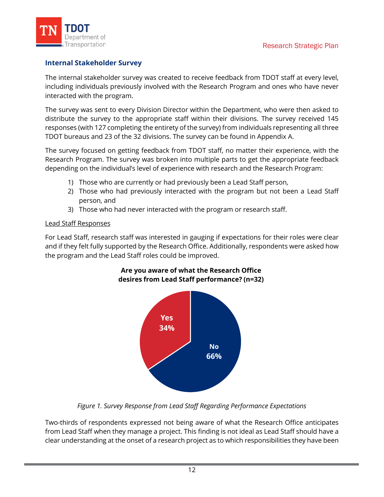

### **Internal Stakeholder Survey**

The internal stakeholder survey was created to receive feedback from TDOT staff at every level, including individuals previously involved with the Research Program and ones who have never interacted with the program.

The survey was sent to every Division Director within the Department, who were then asked to distribute the survey to the appropriate staff within their divisions. The survey received 145 responses (with 127 completing the entirety of the survey) from individuals representing all three TDOT bureaus and 23 of the 32 divisions. The survey can be found in [Appendix A.](#page-45-1) 

The survey focused on getting feedback from TDOT staff, no matter their experience, with the Research Program. The survey was broken into multiple parts to get the appropriate feedback depending on the individual's level of experience with research and the Research Program:

- 1) Those who are currently or had previously been a Lead Staff person,
- 2) Those who had previously interacted with the program but not been a Lead Staff person, and
- 3) Those who had never interacted with the program or research staff.

#### Lead Staff Responses

For Lead Staff, research staff was interested in gauging if expectations for their roles were clear and if they felt fully supported by the Research Office. Additionally, respondents were asked how the program and the Lead Staff roles could be improved.



### **Are you aware of what the Research Office desires from Lead Staff performance? (n=32)**

*Figure 1. Survey Response from Lead Staff Regarding Performance Expectations*

Two-thirds of respondents expressed not being aware of what the Research Office anticipates from Lead Staff when they manage a project. This finding is not ideal as Lead Staff should have a clear understanding at the onset of a research project as to which responsibilities they have been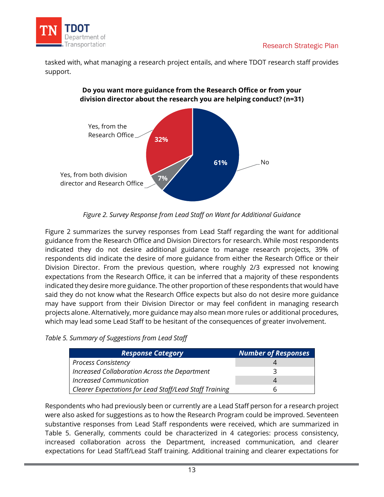

tasked with, what managing a research project entails, and where TDOT research staff provides support.



### **Do you want more guidance from the Research Office or from your division director about the research you are helping conduct? (n=31)**

*Figure 2. Survey Response from Lead Staff on Want for Additional Guidance*

Figure 2 summarizes the survey responses from Lead Staff regarding the want for additional guidance from the Research Office and Division Directors for research. While most respondents indicated they do not desire additional guidance to manage research projects, 39% of respondents did indicate the desire of more guidance from either the Research Office or their Division Director. From the previous question, where roughly 2/3 expressed not knowing expectations from the Research Office, it can be inferred that a majority of these respondents indicated they desire more guidance. The other proportion of these respondents that would have said they do not know what the Research Office expects but also do not desire more guidance may have support from their Division Director or may feel confident in managing research projects alone. Alternatively, more guidance may also mean more rules or additional procedures, which may lead some Lead Staff to be hesitant of the consequences of greater involvement.

| Table 5. Summary of Suggestions from Lead Staff |  |  |  |  |
|-------------------------------------------------|--|--|--|--|
|-------------------------------------------------|--|--|--|--|

| <b>Response Category</b>                                | <b>Number of Responses</b> |
|---------------------------------------------------------|----------------------------|
| <b>Process Consistency</b>                              |                            |
| Increased Collaboration Across the Department           |                            |
| <b>Increased Communication</b>                          | $\overline{4}$             |
| Clearer Expectations for Lead Staff/Lead Staff Training |                            |

Respondents who had previously been or currently are a Lead Staff person for a research project were also asked for suggestions as to how the Research Program could be improved. Seventeen substantive responses from Lead Staff respondents were received, which are summarized in Table 5. Generally, comments could be characterized in 4 categories: process consistency, increased collaboration across the Department, increased communication, and clearer expectations for Lead Staff/Lead Staff training. Additional training and clearer expectations for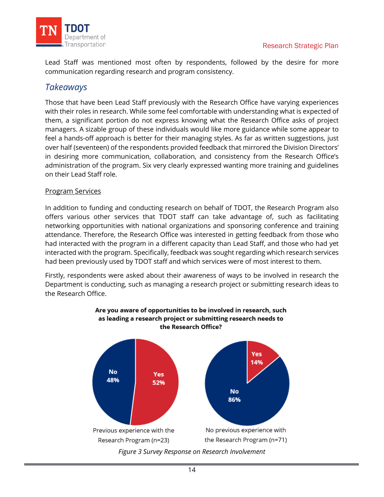

Lead Staff was mentioned most often by respondents, followed by the desire for more communication regarding research and program consistency.

# *Takeaways*

Those that have been Lead Staff previously with the Research Office have varying experiences with their roles in research. While some feel comfortable with understanding what is expected of them, a significant portion do not express knowing what the Research Office asks of project managers. A sizable group of these individuals would like more guidance while some appear to feel a hands-off approach is better for their managing styles. As far as written suggestions, just over half (seventeen) of the respondents provided feedback that mirrored the Division Directors' in desiring more communication, collaboration, and consistency from the Research Office's administration of the program. Six very clearly expressed wanting more training and guidelines on their Lead Staff role.

### Program Services

In addition to funding and conducting research on behalf of TDOT, the Research Program also offers various other services that TDOT staff can take advantage of, such as facilitating networking opportunities with national organizations and sponsoring conference and training attendance. Therefore, the Research Office was interested in getting feedback from those who had interacted with the program in a different capacity than Lead Staff, and those who had yet interacted with the program. Specifically, feedback was sought regarding which research services had been previously used by TDOT staff and which services were of most interest to them.

Firstly, respondents were asked about their awareness of ways to be involved in research the Department is conducting, such as managing a research project or submitting research ideas to the Research Office.

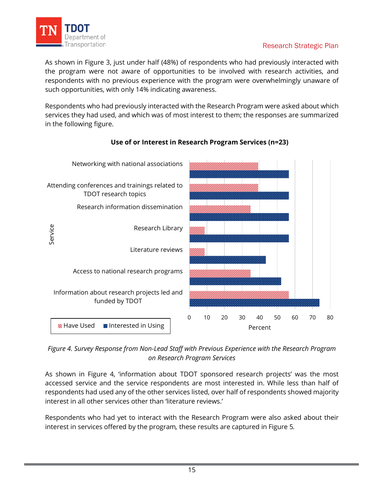

As shown in Figure 3, just under half (48%) of respondents who had previously interacted with the program were not aware of opportunities to be involved with research activities, and respondents with no previous experience with the program were overwhelmingly unaware of such opportunities, with only 14% indicating awareness.

Respondents who had previously interacted with the Research Program were asked about which services they had used, and which was of most interest to them; the responses are summarized in the following figure.



### **Use of or Interest in Research Program Services (n=23)**

### *Figure 4. Survey Response from Non-Lead Staff with Previous Experience with the Research Program on Research Program Services*

As shown in Figure 4, 'information about TDOT sponsored research projects' was the most accessed service and the service respondents are most interested in. While less than half of respondents had used any of the other services listed, over half of respondents showed majority interest in all other services other than 'literature reviews.'

Respondents who had yet to interact with the Research Program were also asked about their interest in services offered by the program*,* these results are captured in Figure 5*.*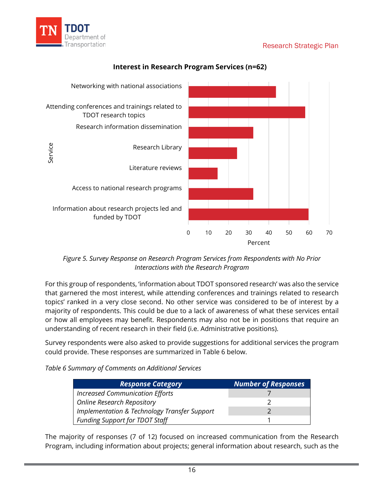



### **Interest in Research Program Services (n=62)**

*Figure 5. Survey Response on Research Program Services from Respondents with No Prior Interactions with the Research Program*

For this group of respondents, 'information about TDOT sponsored research' was also the service that garnered the most interest, while attending conferences and trainings related to research topics' ranked in a very close second. No other service was considered to be of interest by a majority of respondents. This could be due to a lack of awareness of what these services entail or how all employees may benefit. Respondents may also not be in positions that require an understanding of recent research in their field (i.e. Administrative positions).

Survey respondents were also asked to provide suggestions for additional services the program could provide. These responses are summarized in Table 6 below.

*Table 6 Summary of Comments on Additional Services*

| <b>Response Category</b>                                | <b>Number of Responses</b> |
|---------------------------------------------------------|----------------------------|
| <b>Increased Communication Efforts</b>                  |                            |
| <b>Online Research Repository</b>                       |                            |
| <b>Implementation &amp; Technology Transfer Support</b> |                            |
| <b>Funding Support for TDOT Staff</b>                   |                            |

The majority of responses (7 of 12) focused on increased communication from the Research Program, including information about projects; general information about research, such as the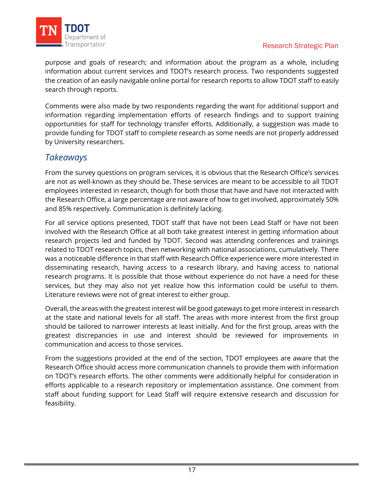

purpose and goals of research; and information about the program as a whole, including information about current services and TDOT's research process. Two respondents suggested the creation of an easily navigable online portal for research reports to allow TDOT staff to easily search through reports.

Comments were also made by two respondents regarding the want for additional support and information regarding implementation efforts of research findings and to support training opportunities for staff for technology transfer efforts. Additionally, a suggestion was made to provide funding for TDOT staff to complete research as some needs are not properly addressed by University researchers.

# *Takeaways*

From the survey questions on program services, it is obvious that the Research Office's services are not as well-known as they should be. These services are meant to be accessible to all TDOT employees interested in research, though for both those that have and have not interacted with the Research Office, a large percentage are not aware of how to get involved, approximately 50% and 85% respectively. Communication is definitely lacking.

For all service options presented, TDOT staff that have not been Lead Staff or have not been involved with the Research Office at all both take greatest interest in getting information about research projects led and funded by TDOT. Second was attending conferences and trainings related to TDOT research topics, then networking with national associations, cumulatively. There was a noticeable difference in that staff with Research Office experience were more interested in disseminating research, having access to a research library, and having access to national research programs. It is possible that those without experience do not have a need for these services, but they may also not yet realize how this information could be useful to them. Literature reviews were not of great interest to either group.

Overall, the areas with the greatest interest will be good gateways to get more interest in research at the state and national levels for all staff. The areas with more interest from the first group should be tailored to narrower interests at least initially. And for the first group, areas with the greatest discrepancies in use and interest should be reviewed for improvements in communication and access to those services.

From the suggestions provided at the end of the section, TDOT employees are aware that the Research Office should access more communication channels to provide them with information on TDOT's research efforts. The other comments were additionally helpful for consideration in efforts applicable to a research repository or implementation assistance. One comment from staff about funding support for Lead Staff will require extensive research and discussion for feasibility.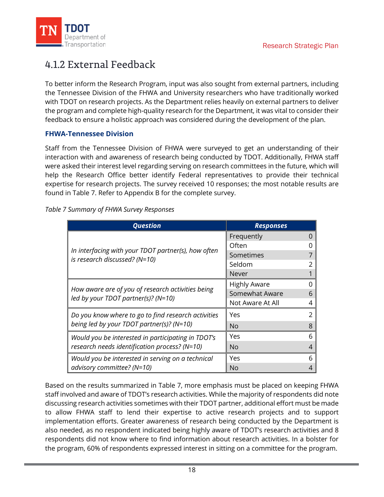

# <span id="page-20-0"></span>4.1.2 External Feedback

To better inform the Research Program, input was also sought from external partners, including the Tennessee Division of the FHWA and University researchers who have traditionally worked with TDOT on research projects. As the Department relies heavily on external partners to deliver the program and complete high-quality research for the Department, it was vital to consider their feedback to ensure a holistic approach was considered during the development of the plan.

### **FHWA-Tennessee Division**

Staff from the Tennessee Division of FHWA were surveyed to get an understanding of their interaction with and awareness of research being conducted by TDOT. Additionally, FHWA staff were asked their interest level regarding serving on research committees in the future, which will help the Research Office better identify Federal representatives to provide their technical expertise for research projects. The survey received 10 responses; the most notable results are found in Table 7. Refer to [Appendix B](#page-52-0) for the complete survey.

|  |  | Table 7 Summary of FHWA Survey Responses |
|--|--|------------------------------------------|
|  |  |                                          |

| <b>Question</b>                                                                      | <b>Responses</b>    |   |
|--------------------------------------------------------------------------------------|---------------------|---|
|                                                                                      | Frequently          |   |
| In interfacing with your TDOT partner(s), how often<br>is research discussed? (N=10) | Often               |   |
|                                                                                      | Sometimes           |   |
|                                                                                      | Seldom              |   |
|                                                                                      | Never               |   |
|                                                                                      | <b>Highly Aware</b> |   |
| How aware are of you of research activities being                                    | Somewhat Aware      | h |
| led by your TDOT partner(s)? (N=10)                                                  | Not Aware At All    |   |
| Do you know where to go to find research activities                                  | Yes                 |   |
| being led by your TDOT partner(s)? ( $N=10$ )                                        | No.                 |   |
| Would you be interested in participating in TDOT's                                   | Yes                 | 6 |
| research needs identification process? (N=10)                                        | No                  |   |
| Would you be interested in serving on a technical                                    | Yes                 | h |
| advisory committee? (N=10)                                                           | No                  |   |

Based on the results summarized in Table 7, more emphasis must be placed on keeping FHWA staff involved and aware of TDOT's research activities. While the majority of respondents did note discussing research activities sometimes with their TDOT partner, additional effort must be made to allow FHWA staff to lend their expertise to active research projects and to support implementation efforts. Greater awareness of research being conducted by the Department is also needed, as no respondent indicated being highly aware of TDOT's research activities and 8 respondents did not know where to find information about research activities. In a bolster for the program, 60% of respondents expressed interest in sitting on a committee for the program.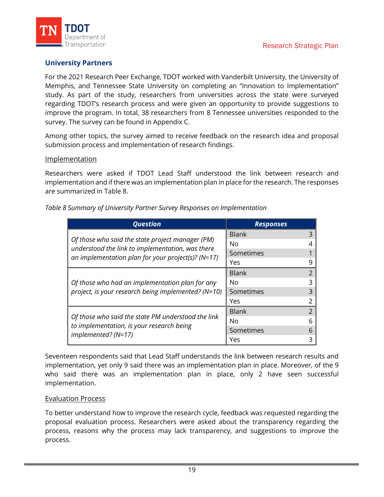

### **University Partners**

For the 2021 Research Peer Exchange, TDOT worked with Vanderbilt University, the University of Memphis, and Tennessee State University on completing an "Innovation to Implementation" study. As part of the study, researchers from universities across the state were surveyed regarding TDOT's research process and were given an opportunity to provide suggestions to improve the program. In total, 38 researchers from 8 Tennessee universities responded to the survey. The survey can be found in [Appendix C.](#page-55-0)

Among other topics, the survey aimed to receive feedback on the research idea and proposal submission process and implementation of research findings.

#### Implementation

Researchers were asked if TDOT Lead Staff understood the link between research and implementation and if there was an implementation plan in place for the research. The responses are summarized in Table 8.

|  |  |  | Table 8 Summary of University Partner Survey Responses on Implementation |
|--|--|--|--------------------------------------------------------------------------|
|  |  |  |                                                                          |
|  |  |  |                                                                          |

| <b>Question</b>                                                                                      | <b>Responses</b> |                |  |
|------------------------------------------------------------------------------------------------------|------------------|----------------|--|
|                                                                                                      | <b>Blank</b>     | 3              |  |
| Of those who said the state project manager (PM)<br>understood the link to implementation, was there | No               | 4              |  |
| an implementation plan for your project(s)? ( $N=17$ )                                               | Sometimes        |                |  |
|                                                                                                      | Yes              | 9              |  |
|                                                                                                      | <b>Blank</b>     | $\mathcal{L}$  |  |
| Of those who had an implementation plan for any                                                      | 3<br>No          |                |  |
| project, is your research being implemented? (N=10)                                                  | Sometimes        | 3              |  |
|                                                                                                      | Yes              | 2              |  |
|                                                                                                      | <b>Blank</b>     | $\overline{2}$ |  |
| Of those who said the state PM understood the link                                                   | No               | 6              |  |
| to implementation, is your research being<br>$implemented? (N=17)$                                   | Sometimes        | 6              |  |
|                                                                                                      | Yes              | 3              |  |

Seventeen respondents said that Lead Staff understands the link between research results and implementation, yet only 9 said there was an implementation plan in place. Moreover, of the 9 who said there was an implementation plan in place, only 2 have seen successful implementation.

### Evaluation Process

To better understand how to improve the research cycle, feedback was requested regarding the proposal evaluation process. Researchers were asked about the transparency regarding the process, reasons why the process may lack transparency, and suggestions to improve the process.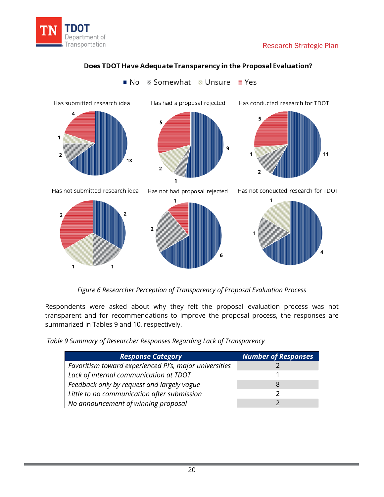





**III No** ⊗ Somewhat Ne Unsure **E** Yes

*Figure 6 Researcher Perception of Transparency of Proposal Evaluation Process*

Respondents were asked about why they felt the proposal evaluation process was not transparent and for recommendations to improve the proposal process, the responses are summarized in Tables 9 and 10, respectively.

*Table 9 Summary of Researcher Responses Regarding Lack of Transparency*

| <b>Response Category</b>                               | <b>Number of Responses</b> |
|--------------------------------------------------------|----------------------------|
| Favoritism toward experienced PI's, major universities |                            |
| Lack of internal communication at TDOT                 |                            |
| Feedback only by request and largely vague             | 8                          |
| Little to no communication after submission            |                            |
| No announcement of winning proposal                    |                            |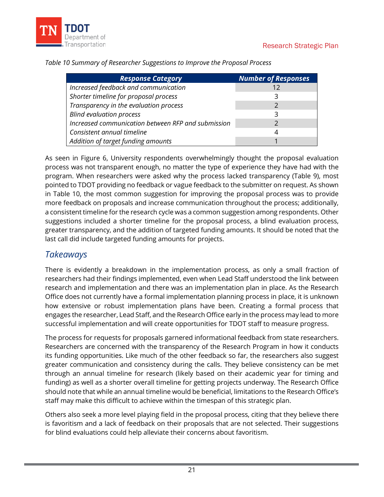

| <b>Response Category</b>                           | <b>Number of Responses</b> |
|----------------------------------------------------|----------------------------|
| Increased feedback and communication               | 12                         |
| Shorter timeline for proposal process              | 3                          |
| Transparency in the evaluation process             |                            |
| <b>Blind evaluation process</b>                    | ੨                          |
| Increased communication between RFP and submission |                            |
| Consistent annual timeline                         | 4                          |
| Addition of target funding amounts                 |                            |

*Table 10 Summary of Researcher Suggestions to Improve the Proposal Process*

As seen in Figure 6, University respondents overwhelmingly thought the proposal evaluation process was not transparent enough, no matter the type of experience they have had with the program. When researchers were asked why the process lacked transparency (Table 9), most pointed to TDOT providing no feedback or vague feedback to the submitter on request. As shown in Table 10, the most common suggestion for improving the proposal process was to provide more feedback on proposals and increase communication throughout the process; additionally, a consistent timeline for the research cycle was a common suggestion among respondents. Other suggestions included a shorter timeline for the proposal process, a blind evaluation process, greater transparency, and the addition of targeted funding amounts. It should be noted that the last call did include targeted funding amounts for projects.

### *Takeaways*

There is evidently a breakdown in the implementation process, as only a small fraction of researchers had their findings implemented, even when Lead Staff understood the link between research and implementation and there was an implementation plan in place. As the Research Office does not currently have a formal implementation planning process in place, it is unknown how extensive or robust implementation plans have been. Creating a formal process that engages the researcher, Lead Staff, and the Research Office early in the process may lead to more successful implementation and will create opportunities for TDOT staff to measure progress.

The process for requests for proposals garnered informational feedback from state researchers. Researchers are concerned with the transparency of the Research Program in how it conducts its funding opportunities. Like much of the other feedback so far, the researchers also suggest greater communication and consistency during the calls. They believe consistency can be met through an annual timeline for research (likely based on their academic year for timing and funding) as well as a shorter overall timeline for getting projects underway. The Research Office should note that while an annual timeline would be beneficial, limitations to the Research Office's staff may make this difficult to achieve within the timespan of this strategic plan.

Others also seek a more level playing field in the proposal process, citing that they believe there is favoritism and a lack of feedback on their proposals that are not selected. Their suggestions for blind evaluations could help alleviate their concerns about favoritism.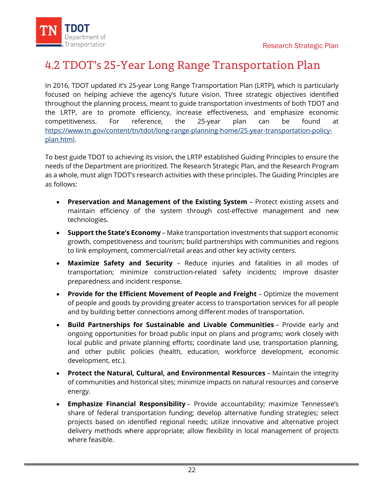

# <span id="page-24-0"></span>4.2 TDOT's 25-Year Long Range Transportation Plan

In 2016, TDOT updated it's 25-year Long Range Transportation Plan (LRTP), which is particularly focused on helping achieve the agency's future vision. Three strategic objectives identified throughout the planning process, meant to guide transportation investments of both TDOT and the LRTP, are to promote efficiency, increase effectiveness, and emphasize economic competitiveness. For reference, the 25-year plan can be found at [https://www.tn.gov/content/tn/tdot/long-range-planning-home/25-year-transportation-policy](https://www.tn.gov/content/tn/tdot/long-range-planning-home/25-year-transportation-policy-plan.html)[plan.html.](https://www.tn.gov/content/tn/tdot/long-range-planning-home/25-year-transportation-policy-plan.html)

To best guide TDOT to achieving its vision, the LRTP established Guiding Principles to ensure the needs of the Department are prioritized. The Research Strategic Plan, and the Research Program as a whole, must align TDOT's research activities with these principles. The Guiding Principles are as follows:

- **Preservation and Management of the Existing System** Protect existing assets and maintain efficiency of the system through cost-effective management and new technologies.
- **Support the State's Economy** Make transportation investments that support economic growth, competitiveness and tourism; build partnerships with communities and regions to link employment, commercial/retail areas and other key activity centers.
- **Maximize Safety and Security** Reduce injuries and fatalities in all modes of transportation; minimize construction-related safety incidents; improve disaster preparedness and incident response.
- **Provide for the Efficient Movement of People and Freight** Optimize the movement of people and goods by providing greater access to transportation services for all people and by building better connections among different modes of transportation.
- **Build Partnerships for Sustainable and Livable Communities** Provide early and ongoing opportunities for broad public input on plans and programs; work closely with local public and private planning efforts; coordinate land use, transportation planning, and other public policies (health, education, workforce development, economic development, etc.).
- **Protect the Natural, Cultural, and Environmental Resources** Maintain the integrity of communities and historical sites; minimize impacts on natural resources and conserve energy.
- **Emphasize Financial Responsibility** Provide accountability; maximize Tennessee's share of federal transportation funding; develop alternative funding strategies; select projects based on identified regional needs; utilize innovative and alternative project delivery methods where appropriate; allow flexibility in local management of projects where feasible.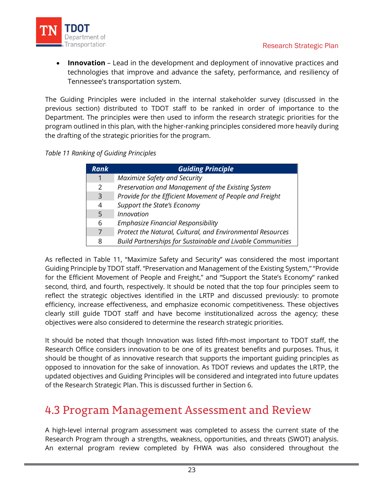

**Innovation** – Lead in the development and deployment of innovative practices and technologies that improve and advance the safety, performance, and resiliency of Tennessee's transportation system.

The Guiding Principles were included in the internal stakeholder survey (discussed in the previous section) distributed to TDOT staff to be ranked in order of importance to the Department. The principles were then used to inform the research strategic priorities for the program outlined in this plan, with the higher-ranking principles considered more heavily during the drafting of the strategic priorities for the program.

*Table 11 Ranking of Guiding Principles*

| <b>Rank</b>    | <b>Guiding Principle</b>                                          |
|----------------|-------------------------------------------------------------------|
| 1              | Maximize Safety and Security                                      |
| 2              | Preservation and Management of the Existing System                |
| $\overline{3}$ | Provide for the Efficient Movement of People and Freight          |
| 4              | <b>Support the State's Economy</b>                                |
| 5              | <b>Innovation</b>                                                 |
| 6              | <b>Emphasize Financial Responsibility</b>                         |
| 7              | Protect the Natural, Cultural, and Environmental Resources        |
| 8              | <b>Build Partnerships for Sustainable and Livable Communities</b> |

As reflected in Table 11, "Maximize Safety and Security" was considered the most important Guiding Principle by TDOT staff. "Preservation and Management of the Existing System," "Provide for the Efficient Movement of People and Freight," and "Support the State's Economy" ranked second, third, and fourth, respectively. It should be noted that the top four principles seem to reflect the strategic objectives identified in the LRTP and discussed previously: to promote efficiency, increase effectiveness, and emphasize economic competitiveness. These objectives clearly still guide TDOT staff and have become institutionalized across the agency; these objectives were also considered to determine the research strategic priorities.

It should be noted that though Innovation was listed fifth-most important to TDOT staff, the Research Office considers innovation to be one of its greatest benefits and purposes. Thus, it should be thought of as innovative research that supports the important guiding principles as opposed to innovation for the sake of innovation. As TDOT reviews and updates the LRTP, the updated objectives and Guiding Principles will be considered and integrated into future updates of the Research Strategic Plan. This is discussed further in [Section 6.](#page-35-3)

# <span id="page-25-0"></span>4.3 Program Management Assessment and Review

A high-level internal program assessment was completed to assess the current state of the Research Program through a strengths, weakness, opportunities, and threats (SWOT) analysis. An external program review completed by FHWA was also considered throughout the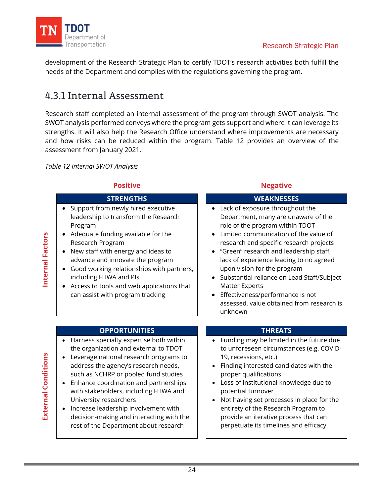

development of the Research Strategic Plan to certify TDOT's research activities both fulfill the needs of the Department and complies with the regulations governing the program.

# <span id="page-26-0"></span>4.3.1 Internal Assessment

Research staff completed an internal assessment of the program through SWOT analysis. The SWOT analysis performed conveys where the program gets support and where it can leverage its strengths. It will also help the Research Office understand where improvements are necessary and how risks can be reduced within the program. Table 12 provides an overview of the assessment from January 2021.

*Table 12 Internal SWOT Analysis*

- $\bullet$  Support from ne leadership to tra Program
- $\bullet$  Adequate funding Research Program
- $\bullet$  New staff with en advance and inn
- Good working re including FHWA
- $\bullet$  Access to tools a can assist with p

### **Positive Contract Positive Contract Positive Contract Positive Contract Positive**

| <b>STRENGTHS</b>                                                                                                                                                                                                                                                                                                                                                                                                                                                                           | <b>WEAKNESSES</b>                                                                                                                                                                                                                                                                                                                                                                                                                                                                                   |
|--------------------------------------------------------------------------------------------------------------------------------------------------------------------------------------------------------------------------------------------------------------------------------------------------------------------------------------------------------------------------------------------------------------------------------------------------------------------------------------------|-----------------------------------------------------------------------------------------------------------------------------------------------------------------------------------------------------------------------------------------------------------------------------------------------------------------------------------------------------------------------------------------------------------------------------------------------------------------------------------------------------|
| Support from newly hired executive<br>$\bullet$<br>leadership to transform the Research<br>Program<br>Adequate funding available for the<br>$\bullet$<br>Research Program<br>New staff with energy and ideas to<br>$\bullet$<br>advance and innovate the program<br>Good working relationships with partners,<br>٠<br>including FHWA and PIs<br>Access to tools and web applications that<br>can assist with program tracking                                                              | • Lack of exposure throughout the<br>Department, many are unaware of the<br>role of the program within TDOT<br>Limited communication of the value of<br>research and specific research projects<br>"Green" research and leadership staff,<br>lack of experience leading to no agreed<br>upon vision for the program<br>Substantial reliance on Lead Staff/Subject<br><b>Matter Experts</b><br>Effectiveness/performance is not<br>$\bullet$<br>assessed, value obtained from research is<br>unknown |
|                                                                                                                                                                                                                                                                                                                                                                                                                                                                                            |                                                                                                                                                                                                                                                                                                                                                                                                                                                                                                     |
| <b>OPPORTUNITIES</b>                                                                                                                                                                                                                                                                                                                                                                                                                                                                       | <b>THREATS</b>                                                                                                                                                                                                                                                                                                                                                                                                                                                                                      |
| Harness specialty expertise both within<br>the organization and external to TDOT<br>Leverage national research programs to<br>$\bullet$<br>address the agency's research needs,<br>such as NCHRP or pooled fund studies<br>Enhance coordination and partnerships<br>$\bullet$<br>with stakeholders, including FHWA and<br>University researchers<br>Increase leadership involvement with<br>$\bullet$<br>decision-making and interacting with the<br>rest of the Department about research | Funding may be limited in the future due<br>to unforeseen circumstances (e.g. COVID-<br>19, recessions, etc.)<br>Finding interested candidates with the<br>proper qualifications<br>Loss of institutional knowledge due to<br>$\bullet$<br>potential turnover<br>Not having set processes in place for the<br>$\bullet$<br>entirety of the Research Program to<br>provide an iterative process that can<br>perpetuate its timelines and efficacy                                                    |

Internal Factors **Internal Factors**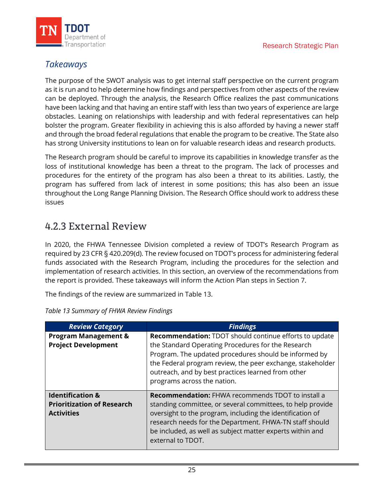

# *Takeaways*

The purpose of the SWOT analysis was to get internal staff perspective on the current program as it is run and to help determine how findings and perspectives from other aspects of the review can be deployed. Through the analysis, the Research Office realizes the past communications have been lacking and that having an entire staff with less than two years of experience are large obstacles. Leaning on relationships with leadership and with federal representatives can help bolster the program. Greater flexibility in achieving this is also afforded by having a newer staff and through the broad federal regulations that enable the program to be creative. The State also has strong University institutions to lean on for valuable research ideas and research products.

The Research program should be careful to improve its capabilities in knowledge transfer as the loss of institutional knowledge has been a threat to the program. The lack of processes and procedures for the entirety of the program has also been a threat to its abilities. Lastly, the program has suffered from lack of interest in some positions; this has also been an issue throughout the Long Range Planning Division. The Research Office should work to address these issues

# <span id="page-27-0"></span>4.2.3 External Review

In 2020, the FHWA Tennessee Division completed a review of TDOT's Research Program as required by 23 CFR § 420.209(d). The review focused on TDOT's process for administering federal funds associated with the Research Program, including the procedures for the selection and implementation of research activities. In this section, an overview of the recommendations from the report is provided. These takeaways will inform the Action Plan steps in [Section 7.](#page-37-2)

The findings of the review are summarized in Table 13.

| <b>Review Category</b>                                                                | <b>Findings</b>                                                                                                                                                                                                                                                                                                                  |
|---------------------------------------------------------------------------------------|----------------------------------------------------------------------------------------------------------------------------------------------------------------------------------------------------------------------------------------------------------------------------------------------------------------------------------|
| <b>Program Management &amp;</b><br><b>Project Development</b>                         | <b>Recommendation: TDOT should continue efforts to update</b><br>the Standard Operating Procedures for the Research<br>Program. The updated procedures should be informed by<br>the Federal program review, the peer exchange, stakeholder<br>outreach, and by best practices learned from other<br>programs across the nation.  |
| <b>Identification &amp;</b><br><b>Prioritization of Research</b><br><b>Activities</b> | <b>Recommendation: FHWA recommends TDOT to install a</b><br>standing committee, or several committees, to help provide<br>oversight to the program, including the identification of<br>research needs for the Department. FHWA-TN staff should<br>be included, as well as subject matter experts within and<br>external to TDOT. |

*Table 13 Summary of FHWA Review Findings*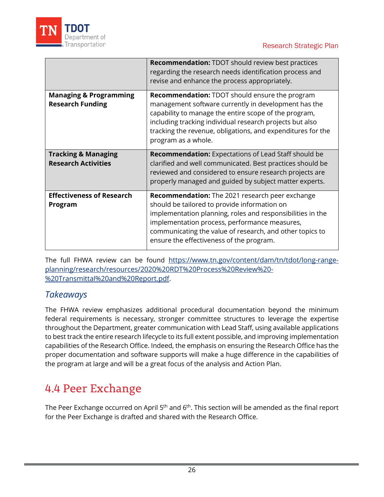

|                                                              | <b>Recommendation: TDOT should review best practices</b><br>regarding the research needs identification process and<br>revise and enhance the process appropriately.                                                                                                                                                          |
|--------------------------------------------------------------|-------------------------------------------------------------------------------------------------------------------------------------------------------------------------------------------------------------------------------------------------------------------------------------------------------------------------------|
| <b>Managing &amp; Programming</b><br><b>Research Funding</b> | <b>Recommendation:</b> TDOT should ensure the program<br>management software currently in development has the<br>capability to manage the entire scope of the program,<br>including tracking individual research projects but also<br>tracking the revenue, obligations, and expenditures for the<br>program as a whole.      |
| <b>Tracking &amp; Managing</b><br><b>Research Activities</b> | <b>Recommendation:</b> Expectations of Lead Staff should be<br>clarified and well communicated. Best practices should be<br>reviewed and considered to ensure research projects are<br>properly managed and guided by subject matter experts.                                                                                 |
| <b>Effectiveness of Research</b><br>Program                  | <b>Recommendation:</b> The 2021 research peer exchange<br>should be tailored to provide information on<br>implementation planning, roles and responsibilities in the<br>implementation process, performance measures,<br>communicating the value of research, and other topics to<br>ensure the effectiveness of the program. |

The full FHWA review can be found [https://www.tn.gov/content/dam/tn/tdot/long-range](https://www.tn.gov/content/dam/tn/tdot/long-range-planning/research/resources/2020%20RDT%20Process%20Review%20-%20Transmittal%20and%20Report.pdf)[planning/research/resources/2020%20RDT%20Process%20Review%20-](https://www.tn.gov/content/dam/tn/tdot/long-range-planning/research/resources/2020%20RDT%20Process%20Review%20-%20Transmittal%20and%20Report.pdf) [%20Transmittal%20and%20Report.pdf.](https://www.tn.gov/content/dam/tn/tdot/long-range-planning/research/resources/2020%20RDT%20Process%20Review%20-%20Transmittal%20and%20Report.pdf)

# *Takeaways*

The FHWA review emphasizes additional procedural documentation beyond the minimum federal requirements is necessary, stronger committee structures to leverage the expertise throughout the Department, greater communication with Lead Staff, using available applications to best track the entire research lifecycle to its full extent possible, and improving implementation capabilities of the Research Office. Indeed, the emphasis on ensuring the Research Office has the proper documentation and software supports will make a huge difference in the capabilities of the program at large and will be a great focus of the analysis and Action Plan.

# <span id="page-28-0"></span>4.4 Peer Exchange

The Peer Exchange occurred on April 5<sup>th</sup> and 6<sup>th</sup>. This section will be amended as the final report for the Peer Exchange is drafted and shared with the Research Office.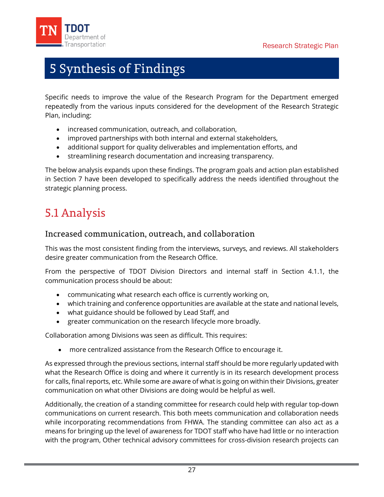<span id="page-29-0"></span>

# 5 Synthesis of Findings

Specific needs to improve the value of the Research Program for the Department emerged repeatedly from the various inputs considered for the development of the Research Strategic Plan, including:

- increased communication, outreach, and collaboration,
- improved partnerships with both internal and external stakeholders,
- additional support for quality deliverables and implementation efforts, and
- streamlining research documentation and increasing transparency.

The below analysis expands upon these findings. The program goals and action plan established in [Section 7](#page-37-2) have been developed to specifically address the needs identified throughout the strategic planning process.

# <span id="page-29-1"></span>5.1 Analysis

### Increased communication, outreach, and collaboration

This was the most consistent finding from the interviews, surveys, and reviews. All stakeholders desire greater communication from the Research Office.

From the perspective of TDOT Division Directors and internal staff in [Section](#page-11-2) 4.1.1, the communication process should be about:

- communicating what research each office is currently working on,
- which training and conference opportunities are available at the state and national levels,
- what guidance should be followed by Lead Staff, and
- greater communication on the research lifecycle more broadly.

Collaboration among Divisions was seen as difficult. This requires:

• more centralized assistance from the Research Office to encourage it.

As expressed through the previous sections, internal staff should be more regularly updated with what the Research Office is doing and where it currently is in its research development process for calls, final reports, etc. While some are aware of what is going on within their Divisions, greater communication on what other Divisions are doing would be helpful as well.

Additionally, the creation of a standing committee for research could help with regular top-down communications on current research. This both meets communication and collaboration needs while incorporating recommendations from FHWA. The standing committee can also act as a means for bringing up the level of awareness for TDOT staff who have had little or no interaction with the program, Other technical advisory committees for cross-division research projects can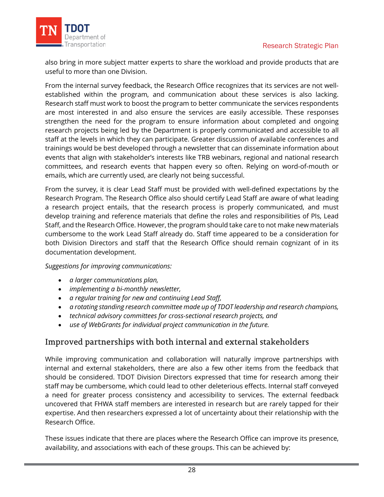

also bring in more subject matter experts to share the workload and provide products that are useful to more than one Division.

From the internal survey feedback, the Research Office recognizes that its services are not wellestablished within the program, and communication about these services is also lacking. Research staff must work to boost the program to better communicate the services respondents are most interested in and also ensure the services are easily accessible. These responses strengthen the need for the program to ensure information about completed and ongoing research projects being led by the Department is properly communicated and accessible to all staff at the levels in which they can participate. Greater discussion of available conferences and trainings would be best developed through a newsletter that can disseminate information about events that align with stakeholder's interests like TRB webinars, regional and national research committees, and research events that happen every so often. Relying on word-of-mouth or emails, which are currently used, are clearly not being successful.

From the survey, it is clear Lead Staff must be provided with well-defined expectations by the Research Program. The Research Office also should certify Lead Staff are aware of what leading a research project entails, that the research process is properly communicated, and must develop training and reference materials that define the roles and responsibilities of PIs, Lead Staff, and the Research Office. However, the program should take care to not make new materials cumbersome to the work Lead Staff already do. Staff time appeared to be a consideration for both Division Directors and staff that the Research Office should remain cognizant of in its documentation development.

*Suggestions for improving communications:* 

- *a larger communications plan,*
- *implementing a bi-monthly newsletter,*
- *a regular training for new and continuing Lead Staff,*
- *a rotating standing research committee made up of TDOT leadership and research champions,*
- *technical advisory committees for cross-sectional research projects, and*
- *use of WebGrants for individual project communication in the future.*

### Improved partnerships with both internal and external stakeholders

While improving communication and collaboration will naturally improve partnerships with internal and external stakeholders, there are also a few other items from the feedback that should be considered. TDOT Division Directors expressed that time for research among their staff may be cumbersome, which could lead to other deleterious effects. Internal staff conveyed a need for greater process consistency and accessibility to services. The external feedback uncovered that FHWA staff members are interested in research but are rarely tapped for their expertise. And then researchers expressed a lot of uncertainty about their relationship with the Research Office.

These issues indicate that there are places where the Research Office can improve its presence, availability, and associations with each of these groups. This can be achieved by: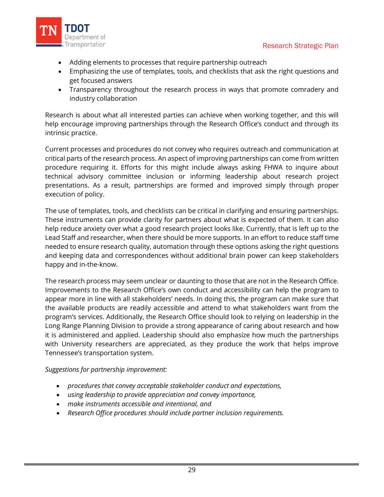

- Adding elements to processes that require partnership outreach
- Emphasizing the use of templates, tools, and checklists that ask the right questions and get focused answers
- Transparency throughout the research process in ways that promote comradery and industry collaboration

Research is about what all interested parties can achieve when working together, and this will help encourage improving partnerships through the Research Office's conduct and through its intrinsic practice.

Current processes and procedures do not convey who requires outreach and communication at critical parts of the research process. An aspect of improving partnerships can come from written procedure requiring it. Efforts for this might include always asking FHWA to inquire about technical advisory committee inclusion or informing leadership about research project presentations. As a result, partnerships are formed and improved simply through proper execution of policy.

The use of templates, tools, and checklists can be critical in clarifying and ensuring partnerships. These instruments can provide clarity for partners about what is expected of them. It can also help reduce anxiety over what a good research project looks like. Currently, that is left up to the Lead Staff and researcher, when there should be more supports. In an effort to reduce staff time needed to ensure research quality, automation through these options asking the right questions and keeping data and correspondences without additional brain power can keep stakeholders happy and in-the-know.

The research process may seem unclear or daunting to those that are not in the Research Office. Improvements to the Research Office's own conduct and accessibility can help the program to appear more in line with all stakeholders' needs. In doing this, the program can make sure that the available products are readily accessible and attend to what stakeholders want from the program's services. Additionally, the Research Office should look to relying on leadership in the Long Range Planning Division to provide a strong appearance of caring about research and how it is administered and applied. Leadership should also emphasize how much the partnerships with University researchers are appreciated, as they produce the work that helps improve Tennessee's transportation system.

### *Suggestions for partnership improvement:*

- *procedures that convey acceptable stakeholder conduct and expectations,*
- *using leadership to provide appreciation and convey importance,*
- *make instruments accessible and intentional, and*
- *Research Office procedures should include partner inclusion requirements.*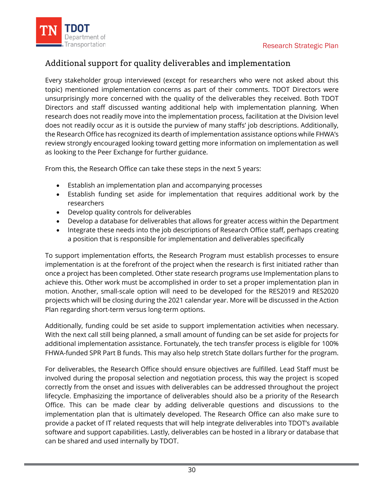

# Additional support for quality deliverables and implementation

Every stakeholder group interviewed (except for researchers who were not asked about this topic) mentioned implementation concerns as part of their comments. TDOT Directors were unsurprisingly more concerned with the quality of the deliverables they received. Both TDOT Directors and staff discussed wanting additional help with implementation planning. When research does not readily move into the implementation process, facilitation at the Division level does not readily occur as it is outside the purview of many staffs' job descriptions. Additionally, the Research Office has recognized its dearth of implementation assistance options while FHWA's review strongly encouraged looking toward getting more information on implementation as well as looking to the Peer Exchange for further guidance.

From this, the Research Office can take these steps in the next 5 years:

- Establish an implementation plan and accompanying processes
- Establish funding set aside for implementation that requires additional work by the researchers
- Develop quality controls for deliverables
- Develop a database for deliverables that allows for greater access within the Department
- Integrate these needs into the job descriptions of Research Office staff, perhaps creating a position that is responsible for implementation and deliverables specifically

To support implementation efforts, the Research Program must establish processes to ensure implementation is at the forefront of the project when the research is first initiated rather than once a project has been completed. Other state research programs use Implementation plans to achieve this. Other work must be accomplished in order to set a proper implementation plan in motion. Another, small-scale option will need to be developed for the RES2019 and RES2020 projects which will be closing during the 2021 calendar year. More will be discussed in the Action Plan regarding short-term versus long-term options.

Additionally, funding could be set aside to support implementation activities when necessary. With the next call still being planned, a small amount of funding can be set aside for projects for additional implementation assistance. Fortunately, the tech transfer process is eligible for 100% FHWA-funded SPR Part B funds. This may also help stretch State dollars further for the program.

For deliverables, the Research Office should ensure objectives are fulfilled. Lead Staff must be involved during the proposal selection and negotiation process, this way the project is scoped correctly from the onset and issues with deliverables can be addressed throughout the project lifecycle. Emphasizing the importance of deliverables should also be a priority of the Research Office. This can be made clear by adding deliverable questions and discussions to the implementation plan that is ultimately developed. The Research Office can also make sure to provide a packet of IT related requests that will help integrate deliverables into TDOT's available software and support capabilities. Lastly, deliverables can be hosted in a library or database that can be shared and used internally by TDOT.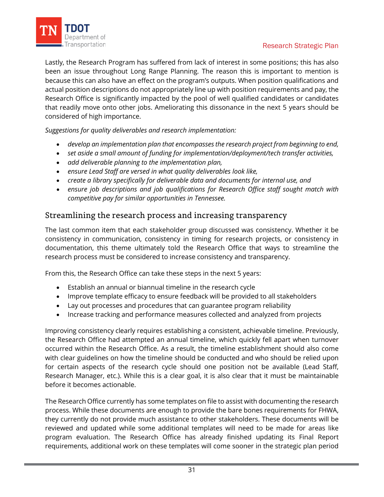

Lastly, the Research Program has suffered from lack of interest in some positions; this has also been an issue throughout Long Range Planning. The reason this is important to mention is because this can also have an effect on the program's outputs. When position qualifications and actual position descriptions do not appropriately line up with position requirements and pay, the Research Office is significantly impacted by the pool of well qualified candidates or candidates that readily move onto other jobs. Ameliorating this dissonance in the next 5 years should be considered of high importance.

*Suggestions for quality deliverables and research implementation:* 

- *develop an implementation plan that encompasses the research project from beginning to end,*
- *set aside a small amount of funding for implementation/deployment/tech transfer activities,*
- *add deliverable planning to the implementation plan,*
- *ensure Lead Staff are versed in what quality deliverables look like,*
- *create a library specifically for deliverable data and documents for internal use, and*
- *ensure job descriptions and job qualifications for Research Office staff sought match with competitive pay for similar opportunities in Tennessee.*

### Streamlining the research process and increasing transparency

The last common item that each stakeholder group discussed was consistency. Whether it be consistency in communication, consistency in timing for research projects, or consistency in documentation, this theme ultimately told the Research Office that ways to streamline the research process must be considered to increase consistency and transparency.

From this, the Research Office can take these steps in the next 5 years:

- Establish an annual or biannual timeline in the research cycle
- Improve template efficacy to ensure feedback will be provided to all stakeholders
- Lay out processes and procedures that can guarantee program reliability
- Increase tracking and performance measures collected and analyzed from projects

Improving consistency clearly requires establishing a consistent, achievable timeline. Previously, the Research Office had attempted an annual timeline, which quickly fell apart when turnover occurred within the Research Office. As a result, the timeline establishment should also come with clear guidelines on how the timeline should be conducted and who should be relied upon for certain aspects of the research cycle should one position not be available (Lead Staff, Research Manager, etc.). While this is a clear goal, it is also clear that it must be maintainable before it becomes actionable.

The Research Office currently has some templates on file to assist with documenting the research process. While these documents are enough to provide the bare bones requirements for FHWA, they currently do not provide much assistance to other stakeholders. These documents will be reviewed and updated while some additional templates will need to be made for areas like program evaluation. The Research Office has already finished updating its Final Report requirements, additional work on these templates will come sooner in the strategic plan period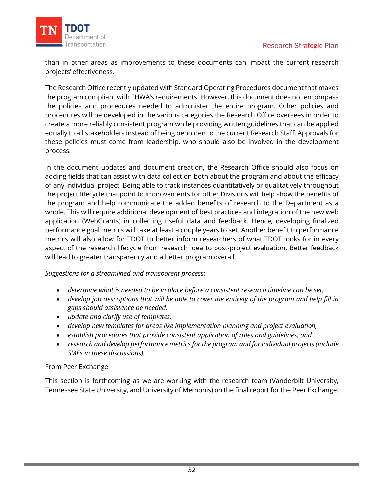

than in other areas as improvements to these documents can impact the current research projects' effectiveness.

The Research Office recently updated with Standard Operating Procedures document that makes the program compliant with FHWA's requirements. However, this document does not encompass the policies and procedures needed to administer the entire program. Other policies and procedures will be developed in the various categories the Research Office oversees in order to create a more reliably consistent program while providing written guidelines that can be applied equally to all stakeholders instead of being beholden to the current Research Staff. Approvals for these policies must come from leadership, who should also be involved in the development process.

In the document updates and document creation, the Research Office should also focus on adding fields that can assist with data collection both about the program and about the efficacy of any individual project. Being able to track instances quantitatively or qualitatively throughout the project lifecycle that point to improvements for other Divisions will help show the benefits of the program and help communicate the added benefits of research to the Department as a whole. This will require additional development of best practices and integration of the new web application (WebGrants) in collecting useful data and feedback. Hence, developing finalized performance goal metrics will take at least a couple years to set. Another benefit to performance metrics will also allow for TDOT to better inform researchers of what TDOT looks for in every aspect of the research lifecycle from research idea to post-project evaluation. Better feedback will lead to greater transparency and a better program overall.

### *Suggestions for a streamlined and transparent process:*

- *determine what is needed to be in place before a consistent research timeline can be set,*
- *develop job descriptions that will be able to cover the entirety of the program and help fill in gaps should assistance be needed,*
- *update and clarify use of templates,*
- *develop new templates for areas like implementation planning and project evaluation,*
- *establish procedures that provide consistent application of rules and guidelines, and*
- *research and develop performance metrics for the program and for individual projects (include SMEs in these discussions).*

#### From Peer Exchange

This section is forthcoming as we are working with the research team (Vanderbilt University, Tennessee State University, and University of Memphis) on the final report for the Peer Exchange.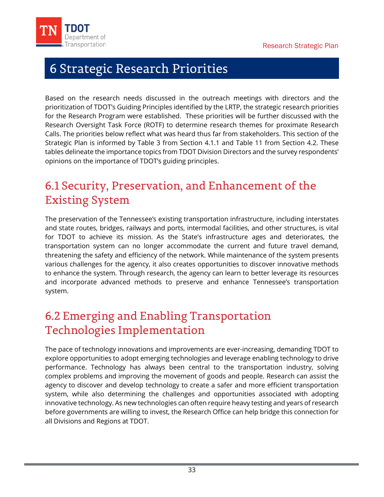<span id="page-35-0"></span>

# <span id="page-35-3"></span>6 Strategic Research Priorities

Based on the research needs discussed in the outreach meetings with directors and the prioritization of TDOT's Guiding Principles identified by the LRTP, the strategic research priorities for the Research Program were established. These priorities will be further discussed with the Research Oversight Task Force (ROTF) to determine research themes for proximate Research Calls. The priorities below reflect what was heard thus far from stakeholders. This section of the Strategic Plan is informed by Table 3 from [Section 4.1.1](#page-11-2) and Table 11 from [Section 4.2.](#page-24-0) These tables delineate the importance topics from TDOT Division Directors and the survey respondents' opinions on the importance of TDOT's guiding principles.

# <span id="page-35-1"></span>6.1 Security, Preservation, and Enhancement of the Existing System

The preservation of the Tennessee's existing transportation infrastructure, including interstates and state routes, bridges, railways and ports, intermodal facilities, and other structures, is vital for TDOT to achieve its mission. As the State's infrastructure ages and deteriorates, the transportation system can no longer accommodate the current and future travel demand, threatening the safety and efficiency of the network. While maintenance of the system presents various challenges for the agency, it also creates opportunities to discover innovative methods to enhance the system. Through research, the agency can learn to better leverage its resources and incorporate advanced methods to preserve and enhance Tennessee's transportation system.

# <span id="page-35-2"></span>6.2 Emerging and Enabling Transportation Technologies Implementation

The pace of technology innovations and improvements are ever-increasing, demanding TDOT to explore opportunities to adopt emerging technologies and leverage enabling technology to drive performance. Technology has always been central to the transportation industry, solving complex problems and improving the movement of goods and people. Research can assist the agency to discover and develop technology to create a safer and more efficient transportation system, while also determining the challenges and opportunities associated with adopting innovative technology. As new technologies can often require heavy testing and years of research before governments are willing to invest, the Research Office can help bridge this connection for all Divisions and Regions at TDOT.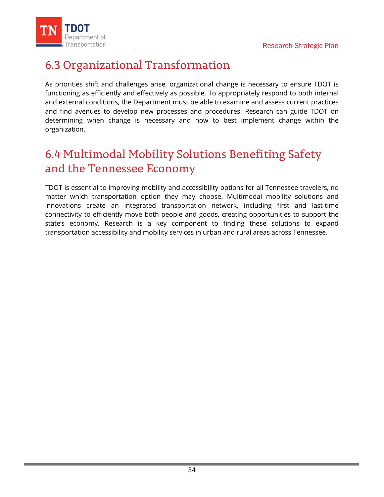

# <span id="page-36-0"></span>6.3 Organizational Transformation

As priorities shift and challenges arise, organizational change is necessary to ensure TDOT is functioning as efficiently and effectively as possible. To appropriately respond to both internal and external conditions, the Department must be able to examine and assess current practices and find avenues to develop new processes and procedures. Research can guide TDOT on determining when change is necessary and how to best implement change within the organization.

# <span id="page-36-1"></span>6.4 Multimodal Mobility Solutions Benefiting Safety and the Tennessee Economy

TDOT is essential to improving mobility and accessibility options for all Tennessee travelers, no matter which transportation option they may choose. Multimodal mobility solutions and innovations create an integrated transportation network, including first and last-time connectivity to efficiently move both people and goods, creating opportunities to support the state's economy. Research is a key component to finding these solutions to expand transportation accessibility and mobility services in urban and rural areas across Tennessee.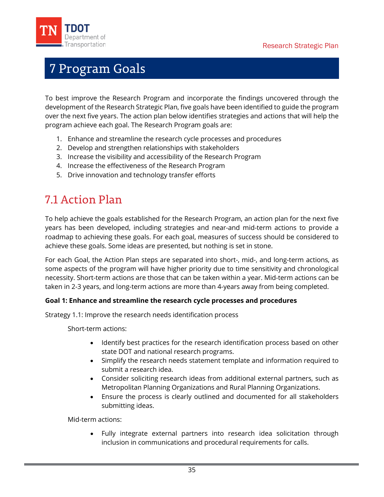<span id="page-37-0"></span>

# <span id="page-37-2"></span>7 Program Goals

To best improve the Research Program and incorporate the findings uncovered through the development of the Research Strategic Plan, five goals have been identified to guide the program over the next five years. The action plan below identifies strategies and actions that will help the program achieve each goal. The Research Program goals are:

- 1. Enhance and streamline the research cycle processes and procedures
- 2. Develop and strengthen relationships with stakeholders
- 3. Increase the visibility and accessibility of the Research Program
- 4. Increase the effectiveness of the Research Program
- 5. Drive innovation and technology transfer efforts

# <span id="page-37-1"></span>7.1 Action Plan

To help achieve the goals established for the Research Program, an action plan for the next five years has been developed, including strategies and near-and mid-term actions to provide a roadmap to achieving these goals. For each goal, measures of success should be considered to achieve these goals. Some ideas are presented, but nothing is set in stone.

For each Goal, the Action Plan steps are separated into short-, mid-, and long-term actions, as some aspects of the program will have higher priority due to time sensitivity and chronological necessity. Short-term actions are those that can be taken within a year. Mid-term actions can be taken in 2-3 years, and long-term actions are more than 4-years away from being completed.

### **Goal 1: Enhance and streamline the research cycle processes and procedures**

Strategy 1.1: Improve the research needs identification process

Short-term actions:

- Identify best practices for the research identification process based on other state DOT and national research programs.
- Simplify the research needs statement template and information required to submit a research idea.
- Consider soliciting research ideas from additional external partners, such as Metropolitan Planning Organizations and Rural Planning Organizations.
- Ensure the process is clearly outlined and documented for all stakeholders submitting ideas.

Mid-term actions:

• Fully integrate external partners into research idea solicitation through inclusion in communications and procedural requirements for calls.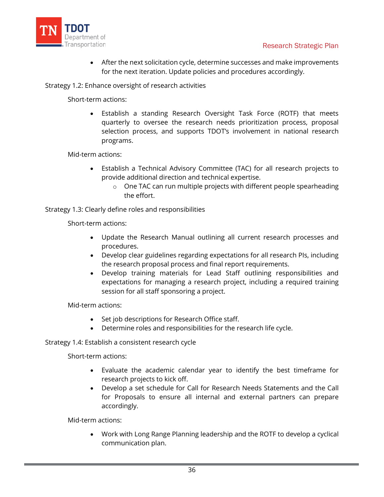

• After the next solicitation cycle, determine successes and make improvements for the next iteration. Update policies and procedures accordingly.

#### Strategy 1.2: Enhance oversight of research activities

Short-term actions:

• Establish a standing Research Oversight Task Force (ROTF) that meets quarterly to oversee the research needs prioritization process, proposal selection process, and supports TDOT's involvement in national research programs.

Mid-term actions:

- Establish a Technical Advisory Committee (TAC) for all research projects to provide additional direction and technical expertise.
	- o One TAC can run multiple projects with different people spearheading the effort.

Strategy 1.3: Clearly define roles and responsibilities

Short-term actions:

- Update the Research Manual outlining all current research processes and procedures.
- Develop clear guidelines regarding expectations for all research PIs, including the research proposal process and final report requirements.
- Develop training materials for Lead Staff outlining responsibilities and expectations for managing a research project, including a required training session for all staff sponsoring a project.

Mid-term actions:

- Set job descriptions for Research Office staff.
- Determine roles and responsibilities for the research life cycle.

Strategy 1.4: Establish a consistent research cycle

Short-term actions:

- Evaluate the academic calendar year to identify the best timeframe for research projects to kick off.
- Develop a set schedule for Call for Research Needs Statements and the Call for Proposals to ensure all internal and external partners can prepare accordingly.

Mid-term actions:

• Work with Long Range Planning leadership and the ROTF to develop a cyclical communication plan.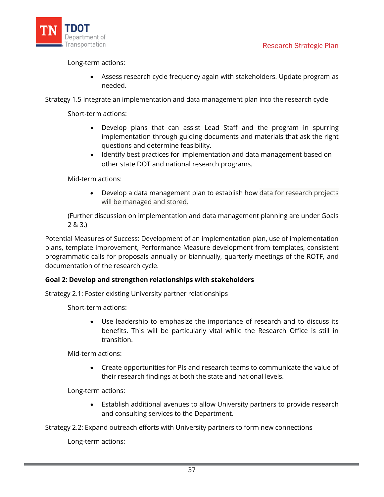

Long-term actions:

• Assess research cycle frequency again with stakeholders. Update program as needed.

Strategy 1.5 Integrate an implementation and data management plan into the research cycle

Short-term actions:

- Develop plans that can assist Lead Staff and the program in spurring implementation through guiding documents and materials that ask the right questions and determine feasibility.
- Identify best practices for implementation and data management based on other state DOT and national research programs.

Mid-term actions:

• Develop a data management plan to establish how data for research projects will be managed and stored.

(Further discussion on implementation and data management planning are under Goals 2 & 3.)

Potential Measures of Success: Development of an implementation plan, use of implementation plans, template improvement, Performance Measure development from templates, consistent programmatic calls for proposals annually or biannually, quarterly meetings of the ROTF, and documentation of the research cycle.

### **Goal 2: Develop and strengthen relationships with stakeholders**

Strategy 2.1: Foster existing University partner relationships

Short-term actions:

• Use leadership to emphasize the importance of research and to discuss its benefits. This will be particularly vital while the Research Office is still in transition.

Mid-term actions:

• Create opportunities for PIs and research teams to communicate the value of their research findings at both the state and national levels.

Long-term actions:

• Establish additional avenues to allow University partners to provide research and consulting services to the Department.

Strategy 2.2: Expand outreach efforts with University partners to form new connections

Long-term actions: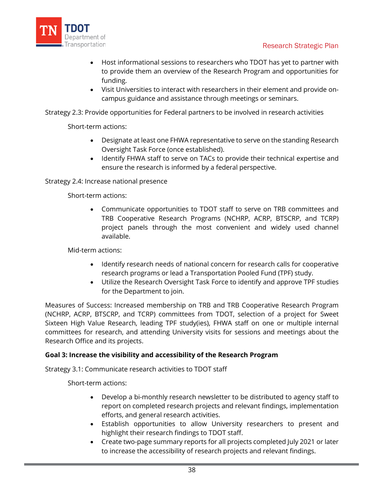

- Host informational sessions to researchers who TDOT has yet to partner with to provide them an overview of the Research Program and opportunities for funding.
- Visit Universities to interact with researchers in their element and provide oncampus guidance and assistance through meetings or seminars.

Strategy 2.3: Provide opportunities for Federal partners to be involved in research activities

Short-term actions:

- Designate at least one FHWA representative to serve on the standing Research Oversight Task Force (once established).
- Identify FHWA staff to serve on TACs to provide their technical expertise and ensure the research is informed by a federal perspective.

Strategy 2.4: Increase national presence

Short-term actions:

• Communicate opportunities to TDOT staff to serve on TRB committees and TRB Cooperative Research Programs (NCHRP, ACRP, BTSCRP, and TCRP) project panels through the most convenient and widely used channel available.

Mid-term actions:

- Identify research needs of national concern for research calls for cooperative research programs or lead a Transportation Pooled Fund (TPF) study.
- Utilize the Research Oversight Task Force to identify and approve TPF studies for the Department to join.

Measures of Success: Increased membership on TRB and TRB Cooperative Research Program (NCHRP, ACRP, BTSCRP, and TCRP) committees from TDOT, selection of a project for Sweet Sixteen High Value Research, leading TPF study(ies), FHWA staff on one or multiple internal committees for research, and attending University visits for sessions and meetings about the Research Office and its projects.

### **Goal 3: Increase the visibility and accessibility of the Research Program**

Strategy 3.1: Communicate research activities to TDOT staff

Short-term actions:

- Develop a bi-monthly research newsletter to be distributed to agency staff to report on completed research projects and relevant findings, implementation efforts, and general research activities.
- Establish opportunities to allow University researchers to present and highlight their research findings to TDOT staff.
- Create two-page summary reports for all projects completed July 2021 or later to increase the accessibility of research projects and relevant findings.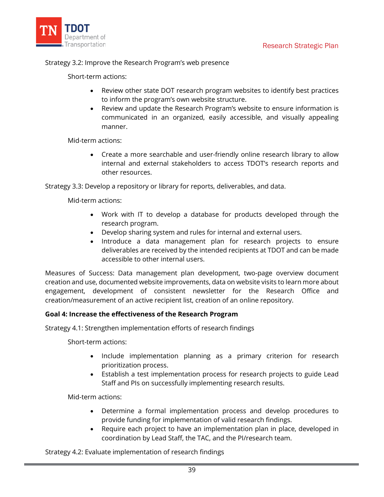

#### Strategy 3.2: Improve the Research Program's web presence

Short-term actions:

- Review other state DOT research program websites to identify best practices to inform the program's own website structure.
- Review and update the Research Program's website to ensure information is communicated in an organized, easily accessible, and visually appealing manner.

Mid-term actions:

• Create a more searchable and user-friendly online research library to allow internal and external stakeholders to access TDOT's research reports and other resources.

Strategy 3.3: Develop a repository or library for reports, deliverables, and data.

Mid-term actions:

- Work with IT to develop a database for products developed through the research program.
- Develop sharing system and rules for internal and external users.
- Introduce a data management plan for research projects to ensure deliverables are received by the intended recipients at TDOT and can be made accessible to other internal users.

Measures of Success: Data management plan development, two-page overview document creation and use, documented website improvements, data on website visits to learn more about engagement, development of consistent newsletter for the Research Office and creation/measurement of an active recipient list, creation of an online repository.

### **Goal 4: Increase the effectiveness of the Research Program**

Strategy 4.1: Strengthen implementation efforts of research findings

Short-term actions:

- Include implementation planning as a primary criterion for research prioritization process.
- Establish a test implementation process for research projects to guide Lead Staff and PIs on successfully implementing research results.

Mid-term actions:

- Determine a formal implementation process and develop procedures to provide funding for implementation of valid research findings.
- Require each project to have an implementation plan in place, developed in coordination by Lead Staff, the TAC, and the PI/research team.

Strategy 4.2: Evaluate implementation of research findings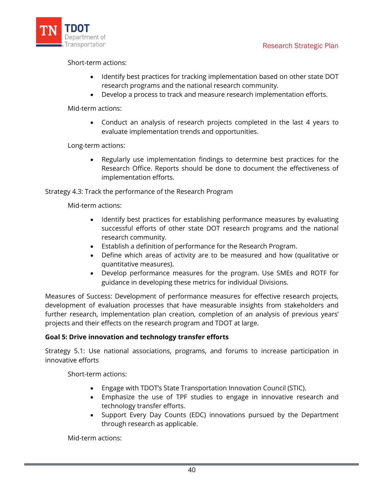

Short-term actions:

- Identify best practices for tracking implementation based on other state DOT research programs and the national research community.
- Develop a process to track and measure research implementation efforts.

Mid-term actions:

• Conduct an analysis of research projects completed in the last 4 years to evaluate implementation trends and opportunities.

Long-term actions:

• Regularly use implementation findings to determine best practices for the Research Office. Reports should be done to document the effectiveness of implementation efforts.

Strategy 4.3: Track the performance of the Research Program

Mid-term actions:

- Identify best practices for establishing performance measures by evaluating successful efforts of other state DOT research programs and the national research community.
- Establish a definition of performance for the Research Program.
- Define which areas of activity are to be measured and how (qualitative or quantitative measures).
- Develop performance measures for the program. Use SMEs and ROTF for guidance in developing these metrics for individual Divisions.

Measures of Success: Development of performance measures for effective research projects, development of evaluation processes that have measurable insights from stakeholders and further research, implementation plan creation, completion of an analysis of previous years' projects and their effects on the research program and TDOT at large.

### **Goal 5: Drive innovation and technology transfer efforts**

Strategy 5.1: Use national associations, programs, and forums to increase participation in innovative efforts

Short-term actions:

- Engage with TDOT's State Transportation Innovation Council (STIC).
- Emphasize the use of TPF studies to engage in innovative research and technology transfer efforts.
- Support Every Day Counts (EDC) innovations pursued by the Department through research as applicable.

Mid-term actions: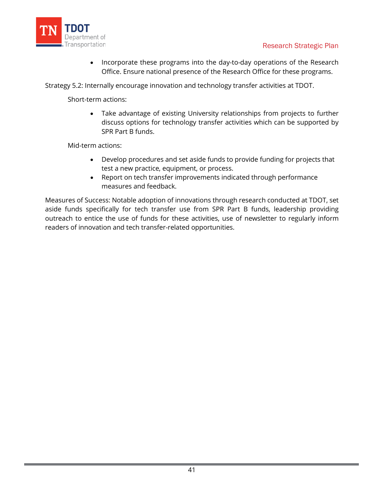

• Incorporate these programs into the day-to-day operations of the Research Office. Ensure national presence of the Research Office for these programs.

Strategy 5.2: Internally encourage innovation and technology transfer activities at TDOT.

Short-term actions:

• Take advantage of existing University relationships from projects to further discuss options for technology transfer activities which can be supported by SPR Part B funds.

Mid-term actions:

- Develop procedures and set aside funds to provide funding for projects that test a new practice, equipment, or process.
- Report on tech transfer improvements indicated through performance measures and feedback.

Measures of Success: Notable adoption of innovations through research conducted at TDOT, set aside funds specifically for tech transfer use from SPR Part B funds, leadership providing outreach to entice the use of funds for these activities, use of newsletter to regularly inform readers of innovation and tech transfer-related opportunities.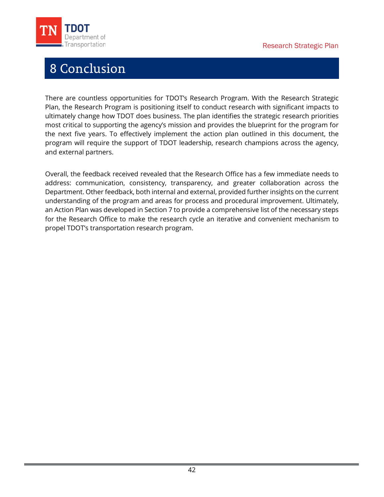<span id="page-44-0"></span>

# 8 Conclusion

There are countless opportunities for TDOT's Research Program. With the Research Strategic Plan, the Research Program is positioning itself to conduct research with significant impacts to ultimately change how TDOT does business. The plan identifies the strategic research priorities most critical to supporting the agency's mission and provides the blueprint for the program for the next five years. To effectively implement the action plan outlined in this document, the program will require the support of TDOT leadership, research champions across the agency, and external partners.

Overall, the feedback received revealed that the Research Office has a few immediate needs to address: communication, consistency, transparency, and greater collaboration across the Department. Other feedback, both internal and external, provided further insights on the current understanding of the program and areas for process and procedural improvement. Ultimately, an Action Plan was developed i[n Section 7](#page-37-2) to provide a comprehensive list of the necessary steps for the Research Office to make the research cycle an iterative and convenient mechanism to propel TDOT's transportation research program.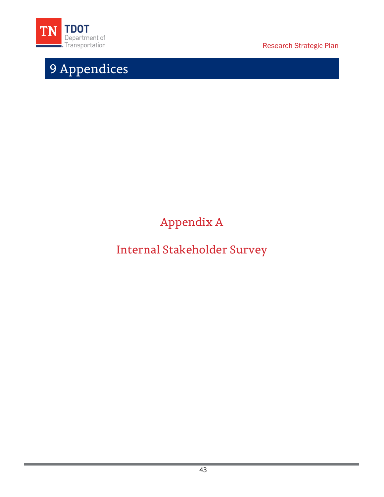<span id="page-45-0"></span>

# 9 Appendices

Research Strategic Plan

# Appendix A

# <span id="page-45-1"></span>Internal Stakeholder Survey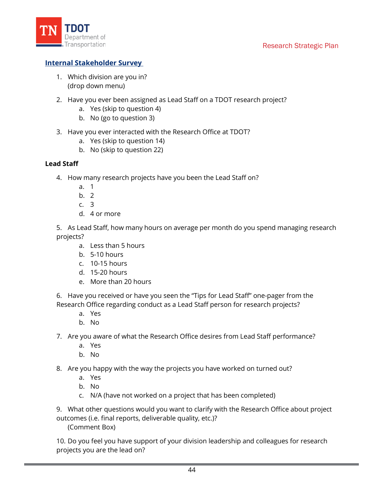

### **Internal Stakeholder Survey**

- 1. Which division are you in? (drop down menu)
- 2. Have you ever been assigned as Lead Staff on a TDOT research project?
	- a. Yes (skip to question 4)
	- b. No (go to question 3)
- 3. Have you ever interacted with the Research Office at TDOT?
	- a. Yes (skip to question 14)
	- b. No (skip to question 22)

#### **Lead Staff**

- 4. How many research projects have you been the Lead Staff on?
	- a. 1
	- b. 2
	- c. 3
	- d. 4 or more

5. As Lead Staff, how many hours on average per month do you spend managing research projects?

- a. Less than 5 hours
- b. 5-10 hours
- c. 10-15 hours
- d. 15-20 hours
- e. More than 20 hours

6. Have you received or have you seen the "Tips for Lead Staff" one-pager from the Research Office regarding conduct as a Lead Staff person for research projects?

- a. Yes
- b. No

7. Are you aware of what the Research Office desires from Lead Staff performance?

- a. Yes
- b. No

8. Are you happy with the way the projects you have worked on turned out?

- a. Yes
- b. No
- c. N/A (have not worked on a project that has been completed)

9. What other questions would you want to clarify with the Research Office about project outcomes (i.e. final reports, deliverable quality, etc.)?

(Comment Box)

10. Do you feel you have support of your division leadership and colleagues for research projects you are the lead on?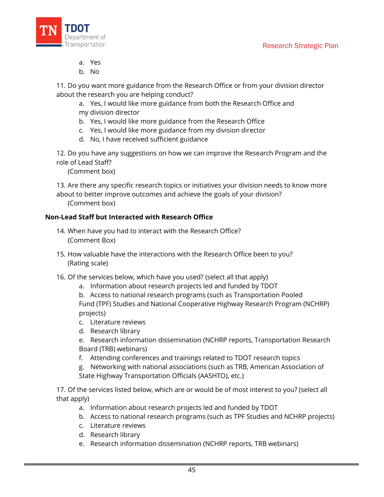

- a. Yes
- b. No

11. Do you want more guidance from the Research Office or from your division director about the research you are helping conduct?

- a. Yes, I would like more guidance from both the Research Office and my division director
- b. Yes, I would like more guidance from the Research Office
- c. Yes, I would like more guidance from my division director
- d. No, I have received sufficient guidance

12. Do you have any suggestions on how we can improve the Research Program and the role of Lead Staff?

(Comment box)

13. Are there any specific research topics or initiatives your division needs to know more about to better improve outcomes and achieve the goals of your division?

(Comment box)

### **Non-Lead Staff but Interacted with Research Office**

- 14. When have you had to interact with the Research Office? (Comment Box)
- 15. How valuable have the interactions with the Research Office been to you? (Rating scale)
- 16. Of the services below, which have you used? (select all that apply)
	- a. Information about research projects led and funded by TDOT

b. Access to national research programs (such as Transportation Pooled Fund (TPF) Studies and National Cooperative Highway Research Program (NCHRP) projects)

- c. Literature reviews
- d. Research library

e. Research information dissemination (NCHRP reports, Transportation Research Board (TRB) webinars)

- f. Attending conferences and trainings related to TDOT research topics
- g. Networking with national associations (such as TRB, American Association of State Highway Transportation Officials (AASHTO), etc.)

17. Of the services listed below, which are or would be of most interest to you? (select all that apply)

- a. Information about research projects led and funded by TDOT
- b. Access to national research programs (such as TPF Studies and NCHRP projects)
- c. Literature reviews
- d. Research library
- e. Research information dissemination (NCHRP reports, TRB webinars)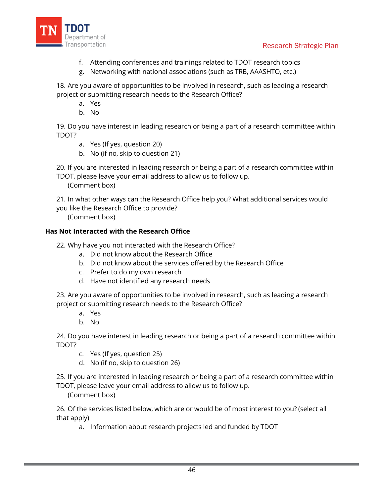

- f. Attending conferences and trainings related to TDOT research topics
- g. Networking with national associations (such as TRB, AAASHTO, etc.)

18. Are you aware of opportunities to be involved in research, such as leading a research project or submitting research needs to the Research Office?

- a. Yes
- b. No

19. Do you have interest in leading research or being a part of a research committee within TDOT?

- a. Yes (If yes, question 20)
- b. No (if no, skip to question 21)

20. If you are interested in leading research or being a part of a research committee within TDOT, please leave your email address to allow us to follow up.

(Comment box)

- 21. In what other ways can the Research Office help you? What additional services would
- you like the Research Office to provide?

(Comment box)

### **Has Not Interacted with the Research Office**

- 22. Why have you not interacted with the Research Office?
	- a. Did not know about the Research Office
	- b. Did not know about the services offered by the Research Office
	- c. Prefer to do my own research
	- d. Have not identified any research needs

23. Are you aware of opportunities to be involved in research, such as leading a research project or submitting research needs to the Research Office?

- a. Yes
- b. No

24. Do you have interest in leading research or being a part of a research committee within TDOT?

- c. Yes (If yes, question 25)
- d. No (if no, skip to question 26)

25. If you are interested in leading research or being a part of a research committee within TDOT, please leave your email address to allow us to follow up.

(Comment box)

26. Of the services listed below, which are or would be of most interest to you? (select all that apply)

a. Information about research projects led and funded by TDOT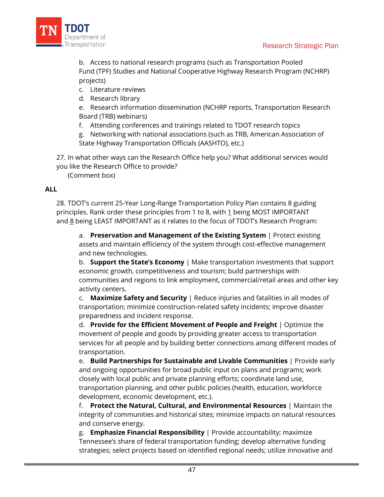

b. Access to national research programs (such as Transportation Pooled Fund (TPF) Studies and National Cooperative Highway Research Program (NCHRP) projects)

- c. Literature reviews
- d. Research library

e. Research information dissemination (NCHRP reports, Transportation Research Board (TRB) webinars)

f. Attending conferences and trainings related to TDOT research topics

g. Networking with national associations (such as TRB, American Association of State Highway Transportation Officials (AASHTO), etc.)

27. In what other ways can the Research Office help you? What additional services would you like the Research Office to provide?

(Comment box)

### **ALL**

28. TDOT's current 25-Year Long-Range Transportation Policy Plan contains 8 guiding principles. Rank order these principles from 1 to 8, with 1 being MOST IMPORTANT and 8 being LEAST IMPORTANT as it relates to the focus of TDOT's Research Program:

a. **Preservation and Management of the Existing System** | Protect existing assets and maintain efficiency of the system through cost-effective management and new technologies.

b. **Support the State's Economy** | Make transportation investments that support economic growth, competitiveness and tourism; build partnerships with communities and regions to link employment, commercial/retail areas and other key activity centers.

c. **Maximize Safety and Security** | Reduce injuries and fatalities in all modes of transportation; minimize construction-related safety incidents; improve disaster preparedness and incident response.

d. **Provide for the Efficient Movement of People and Freight** | Optimize the movement of people and goods by providing greater access to transportation services for all people and by building better connections among different modes of transportation.

e. **Build Partnerships for Sustainable and Livable Communities** | Provide early and ongoing opportunities for broad public input on plans and programs; work closely with local public and private planning efforts; coordinate land use, transportation planning, and other public policies (health, education, workforce development, economic development, etc.).

f. **Protect the Natural, Cultural, and Environmental Resources** | Maintain the integrity of communities and historical sites; minimize impacts on natural resources and conserve energy.

g. **Emphasize Financial Responsibility** | Provide accountability; maximize Tennessee's share of federal transportation funding; develop alternative funding strategies; select projects based on identified regional needs; utilize innovative and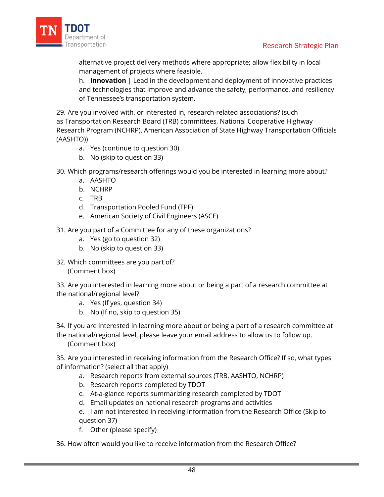

alternative project delivery methods where appropriate; allow flexibility in local management of projects where feasible.

h. **Innovation** | Lead in the development and deployment of innovative practices and technologies that improve and advance the safety, performance, and resiliency of Tennessee's transportation system.

29. Are you involved with, or interested in, research-related associations? (such as Transportation Research Board (TRB) committees, National Cooperative Highway Research Program (NCHRP), American Association of State Highway Transportation Officials (AASHTO))

- a. Yes (continue to question 30)
- b. No (skip to question 33)
- 30. Which programs/research offerings would you be interested in learning more about?
	- a. AASHTO
	- b. NCHRP
	- c. TRB
	- d. Transportation Pooled Fund (TPF)
	- e. American Society of Civil Engineers (ASCE)
- 31. Are you part of a Committee for any of these organizations?
	- a. Yes (go to question 32)
	- b. No (skip to question 33)
- 32. Which committees are you part of? (Comment box)

33. Are you interested in learning more about or being a part of a research committee at the national/regional level?

- a. Yes (If yes, question 34)
- b. No (If no, skip to question 35)

34. If you are interested in learning more about or being a part of a research committee at the national/regional level, please leave your email address to allow us to follow up. (Comment box)

35. Are you interested in receiving information from the Research Office? If so, what types of information? (select all that apply)

- a. Research reports from external sources (TRB, AASHTO, NCHRP)
- b. Research reports completed by TDOT
- c. At-a-glance reports summarizing research completed by TDOT
- d. Email updates on national research programs and activities
- e. I am not interested in receiving information from the Research Office (Skip to question 37)
- f. Other (please specify)

36. How often would you like to receive information from the Research Office?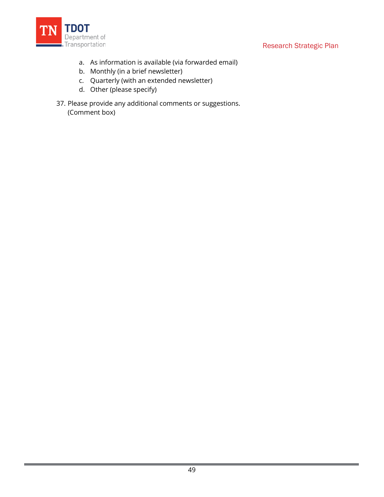

- a. As information is available (via forwarded email)
- b. Monthly (in a brief newsletter)
- c. Quarterly (with an extended newsletter)
- d. Other (please specify)
- 37. Please provide any additional comments or suggestions. (Comment box)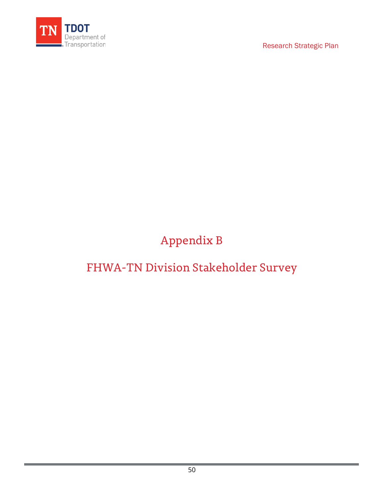

# Appendix B

# <span id="page-52-0"></span>FHWA-TN Division Stakeholder Survey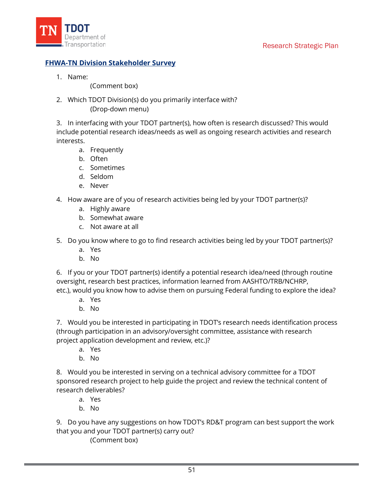

### **FHWA-TN Division Stakeholder Survey**

1. Name:

(Comment box)

2. Which TDOT Division(s) do you primarily interface with? (Drop-down menu)

3. In interfacing with your TDOT partner(s), how often is research discussed? This would include potential research ideas/needs as well as ongoing research activities and research interests.

- a. Frequently
- b. Often
- c. Sometimes
- d. Seldom
- e. Never
- 4. How aware are of you of research activities being led by your TDOT partner(s)?
	- a. Highly aware
	- b. Somewhat aware
	- c. Not aware at all
- 5. Do you know where to go to find research activities being led by your TDOT partner(s)?
	- a. Yes
	- b. No

6. If you or your TDOT partner(s) identify a potential research idea/need (through routine oversight, research best practices, information learned from AASHTO/TRB/NCHRP, etc.), would you know how to advise them on pursuing Federal funding to explore the idea?

- a. Yes
- b. No

7. Would you be interested in participating in TDOT's research needs identification process (through participation in an advisory/oversight committee, assistance with research project application development and review, etc.)?

- a. Yes
- b. No

8. Would you be interested in serving on a technical advisory committee for a TDOT sponsored research project to help guide the project and review the technical content of research deliverables?

- a. Yes
- b. No

9. Do you have any suggestions on how TDOT's RD&T program can best support the work that you and your TDOT partner(s) carry out?

(Comment box)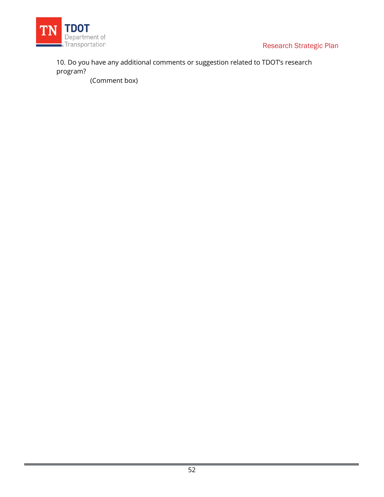

10. Do you have any additional comments or suggestion related to TDOT's research program?

(Comment box)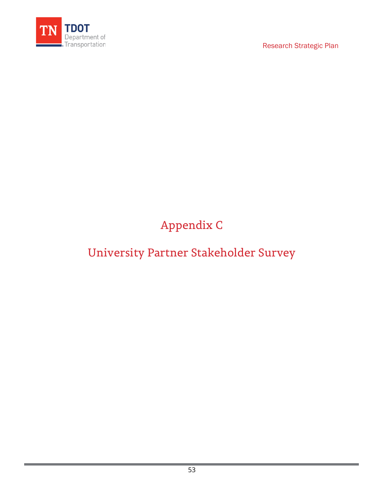

# Appendix C

# <span id="page-55-0"></span>University Partner Stakeholder Survey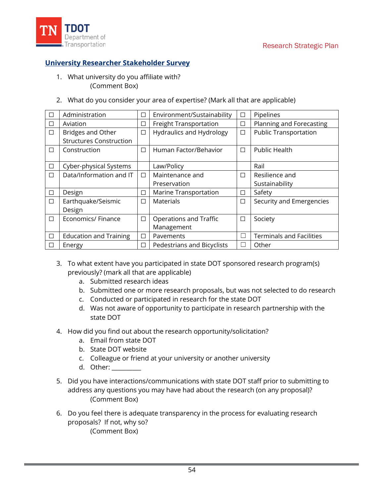

### **University Researcher Stakeholder Survey**

- 1. What university do you affiliate with? (Comment Box)
- 2. What do you consider your area of expertise? (Mark all that are applicable)

|        | Administration                 | $\Box$ | Environment/Sustainability      | □            | Pipelines                       |
|--------|--------------------------------|--------|---------------------------------|--------------|---------------------------------|
| □      | Aviation                       | □      | Freight Transportation          | □            | Planning and Forecasting        |
| $\Box$ | <b>Bridges and Other</b>       | $\Box$ | <b>Hydraulics and Hydrology</b> | $\Box$       | <b>Public Transportation</b>    |
|        | <b>Structures Construction</b> |        |                                 |              |                                 |
| П      | Construction                   | $\Box$ | Human Factor/Behavior           | □            | Public Health                   |
|        |                                |        |                                 |              |                                 |
| □      | Cyber-physical Systems         |        | Law/Policy                      |              | Rail                            |
| П      | Data/Information and IT        | $\Box$ | Maintenance and                 | П            | Resilience and                  |
|        |                                |        | Preservation                    |              | Sustainability                  |
| П      | Design                         | □      | Marine Transportation           | □            | Safety                          |
| П      | Earthquake/Seismic             | $\Box$ | <b>Materials</b>                | □            | Security and Emergencies        |
|        | Design                         |        |                                 |              |                                 |
| П      | Economics/ Finance             | $\Box$ | Operations and Traffic          | □            | Society                         |
|        |                                |        | Management                      |              |                                 |
| П      | <b>Education and Training</b>  | $\Box$ | Pavements                       | $\mathbf{L}$ | <b>Terminals and Facilities</b> |
| ΙI     | Energy                         | $\Box$ | Pedestrians and Bicyclists      | L            | Other                           |

- 3. To what extent have you participated in state DOT sponsored research program(s) previously? (mark all that are applicable)
	- a. Submitted research ideas
	- b. Submitted one or more research proposals, but was not selected to do research
	- c. Conducted or participated in research for the state DOT
	- d. Was not aware of opportunity to participate in research partnership with the state DOT
- 4. How did you find out about the research opportunity/solicitation?
	- a. Email from state DOT
	- b. State DOT website
	- c. Colleague or friend at your university or another university
	- d. Other: \_\_\_\_\_\_\_\_\_\_
- 5. Did you have interactions/communications with state DOT staff prior to submitting to address any questions you may have had about the research (on any proposal)? (Comment Box)
- 6. Do you feel there is adequate transparency in the process for evaluating research proposals? If not, why so? (Comment Box)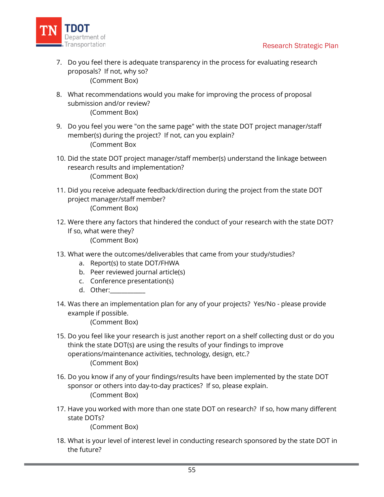

- 7. Do you feel there is adequate transparency in the process for evaluating research proposals? If not, why so? (Comment Box)
- 8. What recommendations would you make for improving the process of proposal submission and/or review? (Comment Box)
- 9. Do you feel you were "on the same page" with the state DOT project manager/staff member(s) during the project? If not, can you explain? (Comment Box
- 10. Did the state DOT project manager/staff member(s) understand the linkage between research results and implementation? (Comment Box)
- 11. Did you receive adequate feedback/direction during the project from the state DOT project manager/staff member? (Comment Box)
- 12. Were there any factors that hindered the conduct of your research with the state DOT? If so, what were they? (Comment Box)
- 13. What were the outcomes/deliverables that came from your study/studies?
	- a. Report(s) to state DOT/FHWA
	- b. Peer reviewed journal article(s)
	- c. Conference presentation(s)
	- d. Other:
- 14. Was there an implementation plan for any of your projects? Yes/No please provide example if possible.

(Comment Box)

- 15. Do you feel like your research is just another report on a shelf collecting dust or do you think the state DOT(s) are using the results of your findings to improve operations/maintenance activities, technology, design, etc.? (Comment Box)
- 16. Do you know if any of your findings/results have been implemented by the state DOT sponsor or others into day-to-day practices? If so, please explain. (Comment Box)
- 17. Have you worked with more than one state DOT on research? If so, how many different state DOTs?

(Comment Box)

18. What is your level of interest level in conducting research sponsored by the state DOT in the future?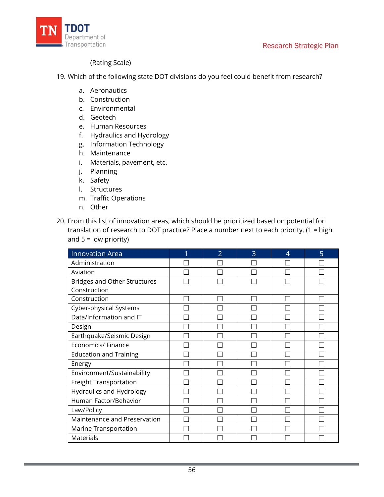



#### (Rating Scale)

- 19. Which of the following state DOT divisions do you feel could benefit from research?
	- a. Aeronautics
	- b. Construction
	- c. Environmental
	- d. Geotech
	- e. Human Resources
	- f. Hydraulics and Hydrology
	- g. Information Technology
	- h. Maintenance
	- i. Materials, pavement, etc.
	- j. Planning
	- k. Safety
	- l. Structures
	- m. Traffic Operations
	- n. Other
- 20. From this list of innovation areas, which should be prioritized based on potential for translation of research to DOT practice? Place a number next to each priority. (1 = high and  $5 =$  low priority)

| <b>Innovation Area</b>              | $\overline{2}$ | 3 | 4 | 5 |
|-------------------------------------|----------------|---|---|---|
| Administration                      |                |   |   |   |
| Aviation                            |                |   |   |   |
| <b>Bridges and Other Structures</b> |                |   |   |   |
| Construction                        |                |   |   |   |
| Construction                        |                |   |   |   |
| Cyber-physical Systems              |                |   |   |   |
| Data/Information and IT             |                |   |   |   |
| Design                              |                |   |   |   |
| Earthquake/Seismic Design           |                |   |   |   |
| Economics/ Finance                  |                |   |   |   |
| <b>Education and Training</b>       |                |   |   |   |
| Energy                              |                |   |   |   |
| Environment/Sustainability          |                |   |   |   |
| Freight Transportation              |                |   |   |   |
| Hydraulics and Hydrology            |                |   |   |   |
| Human Factor/Behavior               |                |   |   |   |
| Law/Policy                          |                |   |   |   |
| Maintenance and Preservation        |                |   |   |   |
| Marine Transportation               |                |   |   |   |
| <b>Materials</b>                    |                |   |   |   |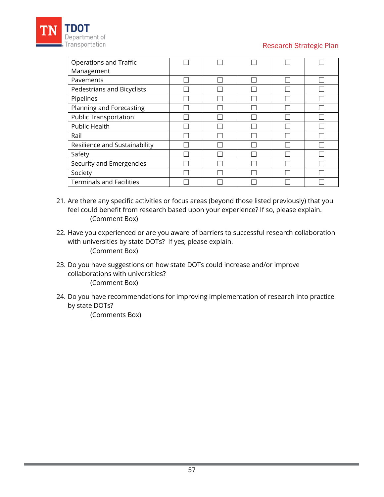

| Operations and Traffic          |  |  |  |
|---------------------------------|--|--|--|
| Management                      |  |  |  |
| Pavements                       |  |  |  |
| Pedestrians and Bicyclists      |  |  |  |
| Pipelines                       |  |  |  |
| Planning and Forecasting        |  |  |  |
| <b>Public Transportation</b>    |  |  |  |
| Public Health                   |  |  |  |
| Rail                            |  |  |  |
| Resilience and Sustainability   |  |  |  |
| Safety                          |  |  |  |
| Security and Emergencies        |  |  |  |
| Society                         |  |  |  |
| <b>Terminals and Facilities</b> |  |  |  |

- 21. Are there any specific activities or focus areas (beyond those listed previously) that you feel could benefit from research based upon your experience? If so, please explain. (Comment Box)
- 22. Have you experienced or are you aware of barriers to successful research collaboration with universities by state DOTs? If yes, please explain. (Comment Box)
- 23. Do you have suggestions on how state DOTs could increase and/or improve collaborations with universities? (Comment Box)
- 24. Do you have recommendations for improving implementation of research into practice by state DOTs?

(Comments Box)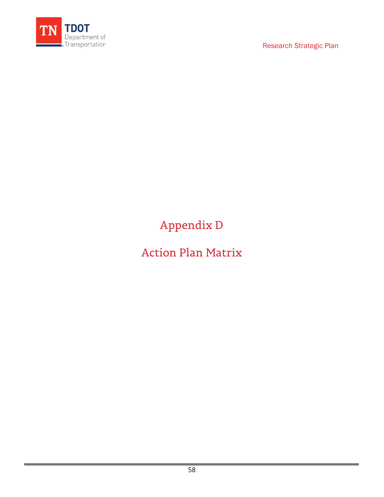

Appendix D

<span id="page-60-0"></span>Action Plan Matrix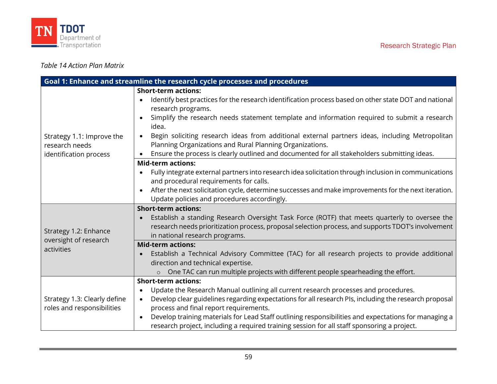



### *Table 14 Action Plan Matrix*

|                                                            | Goal 1: Enhance and streamline the research cycle processes and procedures                                                                                   |
|------------------------------------------------------------|--------------------------------------------------------------------------------------------------------------------------------------------------------------|
|                                                            | <b>Short-term actions:</b>                                                                                                                                   |
|                                                            | Identify best practices for the research identification process based on other state DOT and national<br>research programs.                                  |
|                                                            | Simplify the research needs statement template and information required to submit a research                                                                 |
|                                                            | idea.                                                                                                                                                        |
| Strategy 1.1: Improve the                                  | Begin soliciting research ideas from additional external partners ideas, including Metropolitan<br>$\bullet$                                                 |
| research needs                                             | Planning Organizations and Rural Planning Organizations.                                                                                                     |
| identification process                                     | Ensure the process is clearly outlined and documented for all stakeholders submitting ideas.                                                                 |
|                                                            | <b>Mid-term actions:</b>                                                                                                                                     |
|                                                            | Fully integrate external partners into research idea solicitation through inclusion in communications                                                        |
|                                                            | and procedural requirements for calls.                                                                                                                       |
|                                                            | After the next solicitation cycle, determine successes and make improvements for the next iteration.                                                         |
|                                                            | Update policies and procedures accordingly.                                                                                                                  |
|                                                            | <b>Short-term actions:</b>                                                                                                                                   |
|                                                            | Establish a standing Research Oversight Task Force (ROTF) that meets quarterly to oversee the                                                                |
| Strategy 1.2: Enhance                                      | research needs prioritization process, proposal selection process, and supports TDOT's involvement                                                           |
| oversight of research                                      | in national research programs.                                                                                                                               |
| activities                                                 | <b>Mid-term actions:</b>                                                                                                                                     |
|                                                            | Establish a Technical Advisory Committee (TAC) for all research projects to provide additional                                                               |
|                                                            | direction and technical expertise.                                                                                                                           |
|                                                            | One TAC can run multiple projects with different people spearheading the effort.<br><b>Short-term actions:</b>                                               |
|                                                            |                                                                                                                                                              |
|                                                            | Update the Research Manual outlining all current research processes and procedures.<br>$\bullet$                                                             |
| Strategy 1.3: Clearly define<br>roles and responsibilities | Develop clear guidelines regarding expectations for all research PIs, including the research proposal<br>$\bullet$<br>process and final report requirements. |
|                                                            | Develop training materials for Lead Staff outlining responsibilities and expectations for managing a<br>$\bullet$                                            |
|                                                            | research project, including a required training session for all staff sponsoring a project.                                                                  |
|                                                            |                                                                                                                                                              |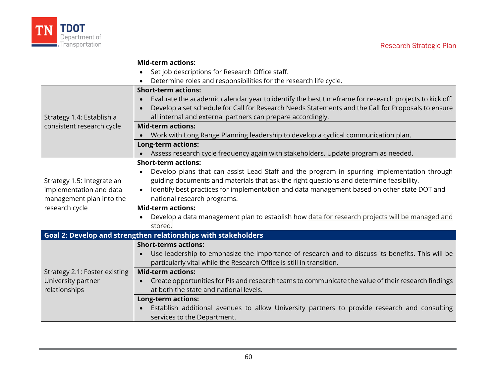

|                                                                | <b>Mid-term actions:</b>                                                                                           |  |  |
|----------------------------------------------------------------|--------------------------------------------------------------------------------------------------------------------|--|--|
|                                                                | Set job descriptions for Research Office staff.                                                                    |  |  |
|                                                                | Determine roles and responsibilities for the research life cycle.                                                  |  |  |
| <b>Short-term actions:</b>                                     |                                                                                                                    |  |  |
|                                                                | Evaluate the academic calendar year to identify the best timeframe for research projects to kick off.<br>$\bullet$ |  |  |
|                                                                | Develop a set schedule for Call for Research Needs Statements and the Call for Proposals to ensure                 |  |  |
| Strategy 1.4: Establish a                                      | all internal and external partners can prepare accordingly.                                                        |  |  |
| consistent research cycle                                      | <b>Mid-term actions:</b>                                                                                           |  |  |
|                                                                | Work with Long Range Planning leadership to develop a cyclical communication plan.                                 |  |  |
|                                                                | <b>Long-term actions:</b>                                                                                          |  |  |
|                                                                | Assess research cycle frequency again with stakeholders. Update program as needed.                                 |  |  |
| <b>Short-term actions:</b>                                     |                                                                                                                    |  |  |
|                                                                | Develop plans that can assist Lead Staff and the program in spurring implementation through                        |  |  |
| Strategy 1.5: Integrate an                                     | guiding documents and materials that ask the right questions and determine feasibility.                            |  |  |
| implementation and data                                        | Identify best practices for implementation and data management based on other state DOT and<br>$\bullet$           |  |  |
| management plan into the                                       | national research programs.                                                                                        |  |  |
| research cycle                                                 | <b>Mid-term actions:</b>                                                                                           |  |  |
|                                                                | Develop a data management plan to establish how data for research projects will be managed and                     |  |  |
|                                                                | stored.                                                                                                            |  |  |
| Goal 2: Develop and strengthen relationships with stakeholders |                                                                                                                    |  |  |
|                                                                | <b>Short-terms actions:</b>                                                                                        |  |  |
|                                                                | Use leadership to emphasize the importance of research and to discuss its benefits. This will be                   |  |  |
|                                                                | particularly vital while the Research Office is still in transition.                                               |  |  |
| Strategy 2.1: Foster existing                                  | <b>Mid-term actions:</b>                                                                                           |  |  |
| University partner                                             | Create opportunities for PIs and research teams to communicate the value of their research findings                |  |  |
| relationships                                                  | at both the state and national levels.                                                                             |  |  |
|                                                                | Long-term actions:                                                                                                 |  |  |
|                                                                | Establish additional avenues to allow University partners to provide research and consulting                       |  |  |
|                                                                | services to the Department.                                                                                        |  |  |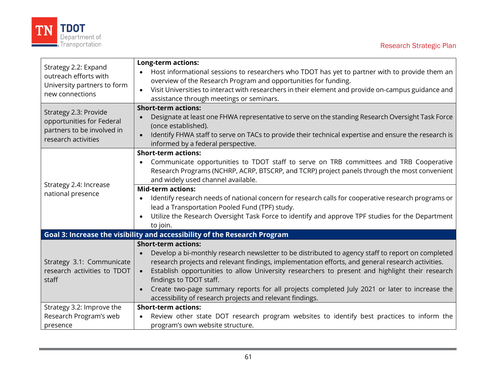



| Strategy 2.2: Expand<br>outreach efforts with<br>University partners to form<br>new connections<br>Strategy 2.3: Provide<br>opportunities for Federal | <b>Long-term actions:</b>                                                                                    |
|-------------------------------------------------------------------------------------------------------------------------------------------------------|--------------------------------------------------------------------------------------------------------------|
|                                                                                                                                                       | Host informational sessions to researchers who TDOT has yet to partner with to provide them an               |
|                                                                                                                                                       | overview of the Research Program and opportunities for funding.                                              |
|                                                                                                                                                       | Visit Universities to interact with researchers in their element and provide on-campus guidance and          |
|                                                                                                                                                       | assistance through meetings or seminars.<br><b>Short-term actions:</b>                                       |
|                                                                                                                                                       | Designate at least one FHWA representative to serve on the standing Research Oversight Task Force            |
|                                                                                                                                                       | (once established).                                                                                          |
| partners to be involved in                                                                                                                            | Identify FHWA staff to serve on TACs to provide their technical expertise and ensure the research is         |
| research activities                                                                                                                                   | informed by a federal perspective.                                                                           |
|                                                                                                                                                       | <b>Short-term actions:</b>                                                                                   |
|                                                                                                                                                       | Communicate opportunities to TDOT staff to serve on TRB committees and TRB Cooperative                       |
|                                                                                                                                                       | Research Programs (NCHRP, ACRP, BTSCRP, and TCRP) project panels through the most convenient                 |
|                                                                                                                                                       | and widely used channel available.                                                                           |
| Strategy 2.4: Increase                                                                                                                                | <b>Mid-term actions:</b>                                                                                     |
| national presence                                                                                                                                     | Identify research needs of national concern for research calls for cooperative research programs or          |
|                                                                                                                                                       | lead a Transportation Pooled Fund (TPF) study.                                                               |
|                                                                                                                                                       | Utilize the Research Oversight Task Force to identify and approve TPF studies for the Department             |
|                                                                                                                                                       | to join.                                                                                                     |
|                                                                                                                                                       | Goal 3: Increase the visibility and accessibility of the Research Program                                    |
|                                                                                                                                                       | <b>Short-term actions:</b>                                                                                   |
|                                                                                                                                                       | Develop a bi-monthly research newsletter to be distributed to agency staff to report on completed            |
| Strategy 3.1: Communicate                                                                                                                             | research projects and relevant findings, implementation efforts, and general research activities.            |
| research activities to TDOT                                                                                                                           | Establish opportunities to allow University researchers to present and highlight their research<br>$\bullet$ |
| staff                                                                                                                                                 | findings to TDOT staff.                                                                                      |
|                                                                                                                                                       | Create two-page summary reports for all projects completed July 2021 or later to increase the                |
|                                                                                                                                                       | accessibility of research projects and relevant findings.                                                    |
| Strategy 3.2: Improve the                                                                                                                             | <b>Short-term actions:</b>                                                                                   |
| Research Program's web                                                                                                                                | Review other state DOT research program websites to identify best practices to inform the                    |
| presence                                                                                                                                              | program's own website structure.                                                                             |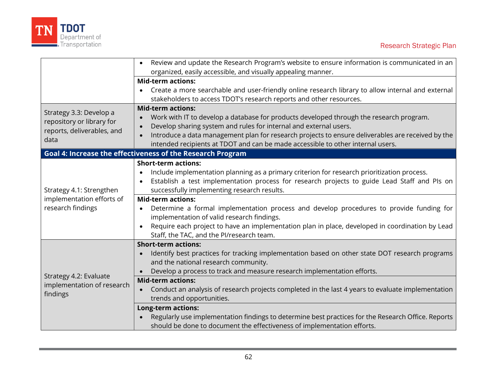

|                                                            | Review and update the Research Program's website to ensure information is communicated in an       |  |  |
|------------------------------------------------------------|----------------------------------------------------------------------------------------------------|--|--|
|                                                            | organized, easily accessible, and visually appealing manner.                                       |  |  |
|                                                            | <b>Mid-term actions:</b>                                                                           |  |  |
|                                                            | Create a more searchable and user-friendly online research library to allow internal and external  |  |  |
|                                                            | stakeholders to access TDOT's research reports and other resources.                                |  |  |
|                                                            | <b>Mid-term actions:</b>                                                                           |  |  |
| Strategy 3.3: Develop a<br>repository or library for       | Work with IT to develop a database for products developed through the research program.            |  |  |
|                                                            | Develop sharing system and rules for internal and external users.                                  |  |  |
| reports, deliverables, and<br>data                         | Introduce a data management plan for research projects to ensure deliverables are received by the  |  |  |
|                                                            | intended recipients at TDOT and can be made accessible to other internal users.                    |  |  |
| Goal 4: Increase the effectiveness of the Research Program |                                                                                                    |  |  |
|                                                            | <b>Short-term actions:</b>                                                                         |  |  |
|                                                            | Include implementation planning as a primary criterion for research prioritization process.        |  |  |
|                                                            | Establish a test implementation process for research projects to guide Lead Staff and Pls on       |  |  |
| Strategy 4.1: Strengthen                                   | successfully implementing research results.                                                        |  |  |
| implementation efforts of                                  | <b>Mid-term actions:</b>                                                                           |  |  |
| research findings                                          | Determine a formal implementation process and develop procedures to provide funding for            |  |  |
|                                                            | implementation of valid research findings.                                                         |  |  |
|                                                            | Require each project to have an implementation plan in place, developed in coordination by Lead    |  |  |
|                                                            | Staff, the TAC, and the PI/research team.                                                          |  |  |
|                                                            | <b>Short-term actions:</b>                                                                         |  |  |
| Strategy 4.2: Evaluate                                     | Identify best practices for tracking implementation based on other state DOT research programs     |  |  |
|                                                            | and the national research community.                                                               |  |  |
|                                                            | Develop a process to track and measure research implementation efforts.                            |  |  |
|                                                            | <b>Mid-term actions:</b>                                                                           |  |  |
| implementation of research                                 | Conduct an analysis of research projects completed in the last 4 years to evaluate implementation  |  |  |
| findings                                                   | trends and opportunities.                                                                          |  |  |
|                                                            | <b>Long-term actions:</b>                                                                          |  |  |
|                                                            | Regularly use implementation findings to determine best practices for the Research Office. Reports |  |  |
|                                                            | should be done to document the effectiveness of implementation efforts.                            |  |  |